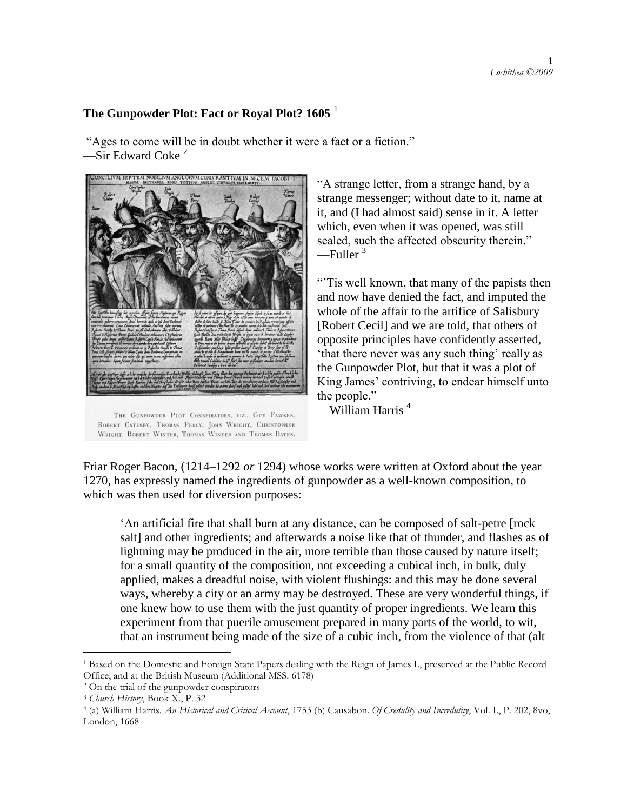## **The Gunpowder Plot: Fact or Royal Plot? 1605** <sup>1</sup>

"Ages to come will be in doubt whether it were a fact or a fiction." —Sir Edward Coke<sup>2</sup>



THE GUNPOWDER PLOT CONSPIRATORS, VIZ., GUY FAWKES, ROBERT CATESBY, THOMAS PERCY, JOHN WRIGHT, CHRISTOPHER WRIGHT, ROBERT WINTER, THOMAS WINTER AND THOMAS BATES.

―A strange letter, from a strange hand, by a strange messenger; without date to it, name at it, and (I had almost said) sense in it. A letter which, even when it was opened, was still sealed, such the affected obscurity therein."  $—$ Fuller<sup>3</sup>

―'Tis well known, that many of the papists then and now have denied the fact, and imputed the whole of the affair to the artifice of Salisbury [Robert Cecil] and we are told, that others of opposite principles have confidently asserted, that there never was any such thing' really as the Gunpowder Plot, but that it was a plot of King James' contriving, to endear himself unto the people."

—William Harris <sup>4</sup>

Friar Roger Bacon, (1214–1292 *or* 1294) whose works were written at Oxford about the year 1270, has expressly named the ingredients of gunpowder as a well-known composition, to which was then used for diversion purposes:

‗An artificial fire that shall burn at any distance, can be composed of salt-petre [rock salt] and other ingredients; and afterwards a noise like that of thunder, and flashes as of lightning may be produced in the air, more terrible than those caused by nature itself; for a small quantity of the composition, not exceeding a cubical inch, in bulk, duly applied, makes a dreadful noise, with violent flushings: and this may be done several ways, whereby a city or an army may be destroyed. These are very wonderful things, if one knew how to use them with the just quantity of proper ingredients. We learn this experiment from that puerile amusement prepared in many parts of the world, to wit, that an instrument being made of the size of a cubic inch, from the violence of that (alt

<sup>1</sup> Based on the Domestic and Foreign State Papers dealing with the Reign of James I., preserved at the Public Record Office, and at the British Museum (Additional MSS. 6178)

<sup>2</sup> On the trial of the gunpowder conspirators

<sup>3</sup> *Church History*, Book X., P. 32

<sup>4</sup> (a) William Harris. *An Historical and Critical Account*, 1753 (b) Causabon. *Of Credulity and Incredulity*, Vol. I., P. 202, 8vo, London, 1668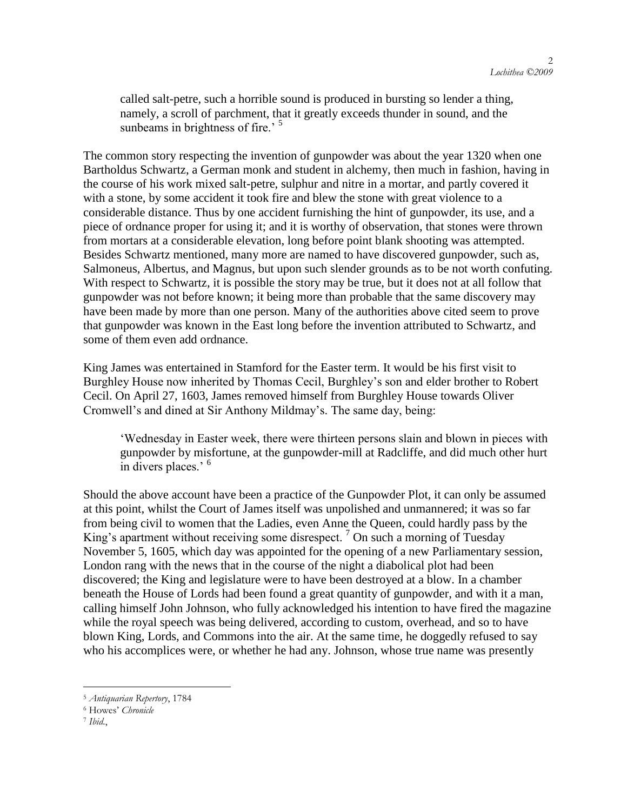called salt-petre, such a horrible sound is produced in bursting so lender a thing, namely, a scroll of parchment, that it greatly exceeds thunder in sound, and the sunbeams in brightness of fire.<sup>5</sup>

The common story respecting the invention of gunpowder was about the year 1320 when one Bartholdus Schwartz, a German monk and student in alchemy, then much in fashion, having in the course of his work mixed salt-petre, sulphur and nitre in a mortar, and partly covered it with a stone, by some accident it took fire and blew the stone with great violence to a considerable distance. Thus by one accident furnishing the hint of gunpowder, its use, and a piece of ordnance proper for using it; and it is worthy of observation, that stones were thrown from mortars at a considerable elevation, long before point blank shooting was attempted. Besides Schwartz mentioned, many more are named to have discovered gunpowder, such as, Salmoneus, Albertus, and Magnus, but upon such slender grounds as to be not worth confuting. With respect to Schwartz, it is possible the story may be true, but it does not at all follow that gunpowder was not before known; it being more than probable that the same discovery may have been made by more than one person. Many of the authorities above cited seem to prove that gunpowder was known in the East long before the invention attributed to Schwartz, and some of them even add ordnance.

King James was entertained in Stamford for the Easter term. It would be his first visit to Burghley House now inherited by Thomas Cecil, Burghley's son and elder brother to Robert Cecil. On April 27, 1603, James removed himself from Burghley House towards Oliver Cromwell's and dined at Sir Anthony Mildmay's. The same day, being:

‗Wednesday in Easter week, there were thirteen persons slain and blown in pieces with gunpowder by misfortune, at the gunpowder-mill at Radcliffe, and did much other hurt in divers places.' <sup>6</sup>

Should the above account have been a practice of the Gunpowder Plot, it can only be assumed at this point, whilst the Court of James itself was unpolished and unmannered; it was so far from being civil to women that the Ladies, even Anne the Queen, could hardly pass by the King's apartment without receiving some disrespect.<sup>7</sup> On such a morning of Tuesday November 5, 1605, which day was appointed for the opening of a new Parliamentary session, London rang with the news that in the course of the night a diabolical plot had been discovered; the King and legislature were to have been destroyed at a blow. In a chamber beneath the House of Lords had been found a great quantity of gunpowder, and with it a man, calling himself John Johnson, who fully acknowledged his intention to have fired the magazine while the royal speech was being delivered, according to custom, overhead, and so to have blown King, Lords, and Commons into the air. At the same time, he doggedly refused to say who his accomplices were, or whether he had any. Johnson, whose true name was presently

<sup>5</sup> *Antiquarian Repertory*, 1784

<sup>6</sup> Howes" *Chronicle*

<sup>7</sup> *Ibid*.,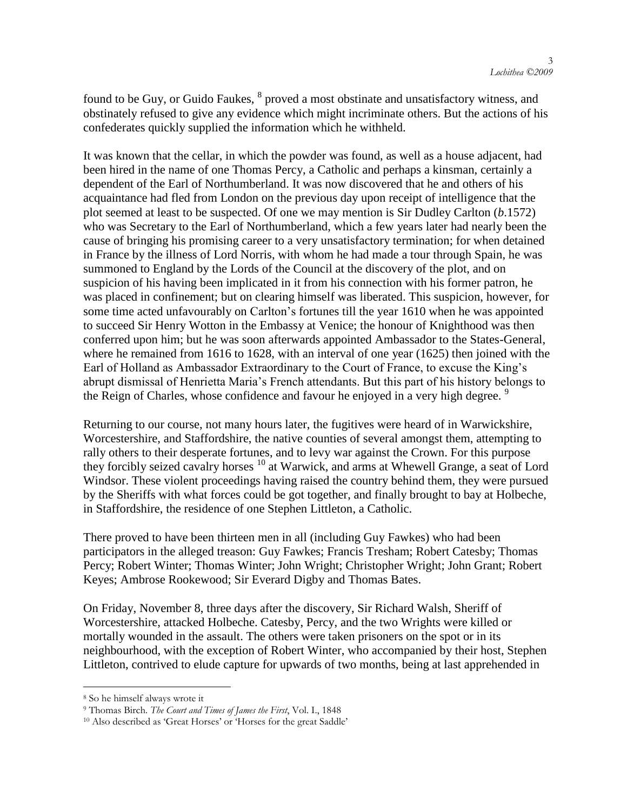found to be Guy, or Guido Faukes,  $^8$  proved a most obstinate and unsatisfactory witness, and obstinately refused to give any evidence which might incriminate others. But the actions of his confederates quickly supplied the information which he withheld.

It was known that the cellar, in which the powder was found, as well as a house adjacent, had been hired in the name of one Thomas Percy, a Catholic and perhaps a kinsman, certainly a dependent of the Earl of Northumberland. It was now discovered that he and others of his acquaintance had fled from London on the previous day upon receipt of intelligence that the plot seemed at least to be suspected. Of one we may mention is Sir Dudley Carlton (*b*.1572) who was Secretary to the Earl of Northumberland, which a few years later had nearly been the cause of bringing his promising career to a very unsatisfactory termination; for when detained in France by the illness of Lord Norris, with whom he had made a tour through Spain, he was summoned to England by the Lords of the Council at the discovery of the plot, and on suspicion of his having been implicated in it from his connection with his former patron, he was placed in confinement; but on clearing himself was liberated. This suspicion, however, for some time acted unfavourably on Carlton's fortunes till the year 1610 when he was appointed to succeed Sir Henry Wotton in the Embassy at Venice; the honour of Knighthood was then conferred upon him; but he was soon afterwards appointed Ambassador to the States-General, where he remained from 1616 to 1628, with an interval of one year (1625) then joined with the Earl of Holland as Ambassador Extraordinary to the Court of France, to excuse the King's abrupt dismissal of Henrietta Maria's French attendants. But this part of his history belongs to the Reign of Charles, whose confidence and favour he enjoyed in a very high degree.<sup>9</sup>

Returning to our course, not many hours later, the fugitives were heard of in Warwickshire, Worcestershire, and Staffordshire, the native counties of several amongst them, attempting to rally others to their desperate fortunes, and to levy war against the Crown. For this purpose they forcibly seized cavalry horses <sup>10</sup> at Warwick, and arms at Whewell Grange, a seat of Lord Windsor. These violent proceedings having raised the country behind them, they were pursued by the Sheriffs with what forces could be got together, and finally brought to bay at Holbeche, in Staffordshire, the residence of one Stephen Littleton, a Catholic.

There proved to have been thirteen men in all (including Guy Fawkes) who had been participators in the alleged treason: Guy Fawkes; Francis Tresham; Robert Catesby; Thomas Percy; Robert Winter; Thomas Winter; John Wright; Christopher Wright; John Grant; Robert Keyes; Ambrose Rookewood; Sir Everard Digby and Thomas Bates.

On Friday, November 8, three days after the discovery, Sir Richard Walsh, Sheriff of Worcestershire, attacked Holbeche. Catesby, Percy, and the two Wrights were killed or mortally wounded in the assault. The others were taken prisoners on the spot or in its neighbourhood, with the exception of Robert Winter, who accompanied by their host, Stephen Littleton, contrived to elude capture for upwards of two months, being at last apprehended in

<sup>8</sup> So he himself always wrote it

<sup>9</sup> Thomas Birch. *The Court and Times of James the First*, Vol. I., 1848

<sup>&</sup>lt;sup>10</sup> Also described as 'Great Horses' or 'Horses for the great Saddle'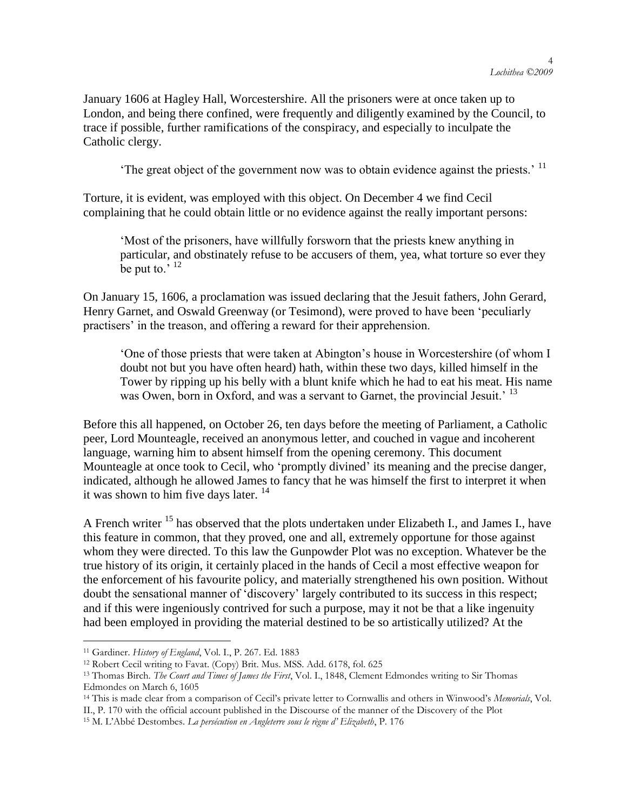January 1606 at Hagley Hall, Worcestershire. All the prisoners were at once taken up to London, and being there confined, were frequently and diligently examined by the Council, to trace if possible, further ramifications of the conspiracy, and especially to inculpate the Catholic clergy.

The great object of the government now was to obtain evidence against the priests.<sup> $11$ </sup>

Torture, it is evident, was employed with this object. On December 4 we find Cecil complaining that he could obtain little or no evidence against the really important persons:

‗Most of the prisoners, have willfully forsworn that the priests knew anything in particular, and obstinately refuse to be accusers of them, yea, what torture so ever they be put to.' <sup>12</sup>

On January 15, 1606, a proclamation was issued declaring that the Jesuit fathers, John Gerard, Henry Garnet, and Oswald Greenway (or Tesimond), were proved to have been 'peculiarly practisers' in the treason, and offering a reward for their apprehension.

‗One of those priests that were taken at Abington's house in Worcestershire (of whom I doubt not but you have often heard) hath, within these two days, killed himself in the Tower by ripping up his belly with a blunt knife which he had to eat his meat. His name was Owen, born in Oxford, and was a servant to Garnet, the provincial Jesuit.<sup>' 13</sup>

Before this all happened, on October 26, ten days before the meeting of Parliament, a Catholic peer, Lord Mounteagle, received an anonymous letter, and couched in vague and incoherent language, warning him to absent himself from the opening ceremony. This document Mounteagle at once took to Cecil, who 'promptly divined' its meaning and the precise danger, indicated, although he allowed James to fancy that he was himself the first to interpret it when it was shown to him five days later.<sup>14</sup>

A French writer <sup>15</sup> has observed that the plots undertaken under Elizabeth I., and James I., have this feature in common, that they proved, one and all, extremely opportune for those against whom they were directed. To this law the Gunpowder Plot was no exception. Whatever be the true history of its origin, it certainly placed in the hands of Cecil a most effective weapon for the enforcement of his favourite policy, and materially strengthened his own position. Without doubt the sensational manner of 'discovery' largely contributed to its success in this respect; and if this were ingeniously contrived for such a purpose, may it not be that a like ingenuity had been employed in providing the material destined to be so artistically utilized? At the

<sup>11</sup> Gardiner. *History of England*, Vol. I., P. 267. Ed. 1883

<sup>12</sup> Robert Cecil writing to Favat. (Copy) Brit. Mus. MSS. Add. 6178, fol. 625

<sup>13</sup> Thomas Birch. *The Court and Times of James the First*, Vol. I., 1848, Clement Edmondes writing to Sir Thomas Edmondes on March 6, 1605

<sup>14</sup> This is made clear from a comparison of Cecil"s private letter to Cornwallis and others in Winwood"s *Memorials*, Vol. II., P. 170 with the official account published in the Discourse of the manner of the Discovery of the Plot

<sup>15</sup> M. L"Abbé Destombes. *La persécution en Angleterre sous le règne d' Elizabeth*, P. 176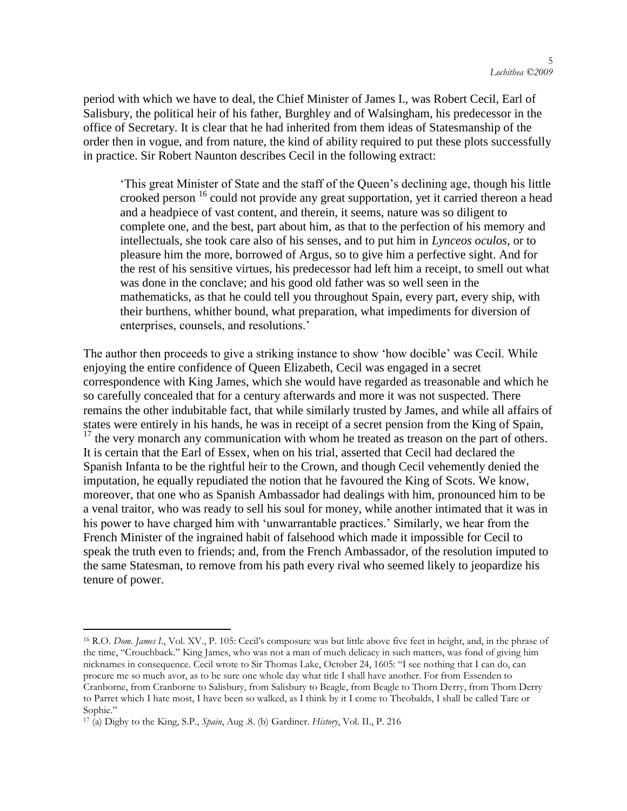period with which we have to deal, the Chief Minister of James I., was Robert Cecil, Earl of Salisbury, the political heir of his father, Burghley and of Walsingham, his predecessor in the office of Secretary. It is clear that he had inherited from them ideas of Statesmanship of the order then in vogue, and from nature, the kind of ability required to put these plots successfully in practice. Sir Robert Naunton describes Cecil in the following extract:

‗This great Minister of State and the staff of the Queen's declining age, though his little crooked person <sup>16</sup> could not provide any great supportation, yet it carried thereon a head and a headpiece of vast content, and therein, it seems, nature was so diligent to complete one, and the best, part about him, as that to the perfection of his memory and intellectuals, she took care also of his senses, and to put him in *Lynceos oculos*, or to pleasure him the more, borrowed of Argus, so to give him a perfective sight. And for the rest of his sensitive virtues, his predecessor had left him a receipt, to smell out what was done in the conclave; and his good old father was so well seen in the mathematicks, as that he could tell you throughout Spain, every part, every ship, with their burthens, whither bound, what preparation, what impediments for diversion of enterprises, counsels, and resolutions.'

The author then proceeds to give a striking instance to show 'how docible' was Cecil. While enjoying the entire confidence of Queen Elizabeth, Cecil was engaged in a secret correspondence with King James, which she would have regarded as treasonable and which he so carefully concealed that for a century afterwards and more it was not suspected. There remains the other indubitable fact, that while similarly trusted by James, and while all affairs of states were entirely in his hands, he was in receipt of a secret pension from the King of Spain,  $17$  the very monarch any communication with whom he treated as treason on the part of others. It is certain that the Earl of Essex, when on his trial, asserted that Cecil had declared the Spanish Infanta to be the rightful heir to the Crown, and though Cecil vehemently denied the imputation, he equally repudiated the notion that he favoured the King of Scots. We know, moreover, that one who as Spanish Ambassador had dealings with him, pronounced him to be a venal traitor, who was ready to sell his soul for money, while another intimated that it was in his power to have charged him with 'unwarrantable practices.' Similarly, we hear from the French Minister of the ingrained habit of falsehood which made it impossible for Cecil to speak the truth even to friends; and, from the French Ambassador, of the resolution imputed to the same Statesman, to remove from his path every rival who seemed likely to jeopardize his tenure of power.

<sup>&</sup>lt;sup>16</sup> R.O. *Dom. James I.*, Vol. XV., P. 105: Cecil's composure was but little above five feet in height, and, in the phrase of the time, "Crouchback." King James, who was not a man of much delicacy in such matters, was fond of giving him nicknames in consequence. Cecil wrote to Sir Thomas Lake, October 24, 1605: "I see nothing that I can do, can procure me so much avor, as to be sure one whole day what title I shall have another. For from Essenden to Cranborne, from Cranborne to Salisbury, from Salisbury to Beagle, from Beagle to Thorn Derry, from Thorn Derry to Parret which I hate most, I have been so walked, as I think by it I come to Theobalds, I shall be called Tare or Sophie."

<sup>17</sup> (a) Digby to the King, S.P., *Spain*, Aug .8. (b) Gardiner. *History*, Vol. II., P. 216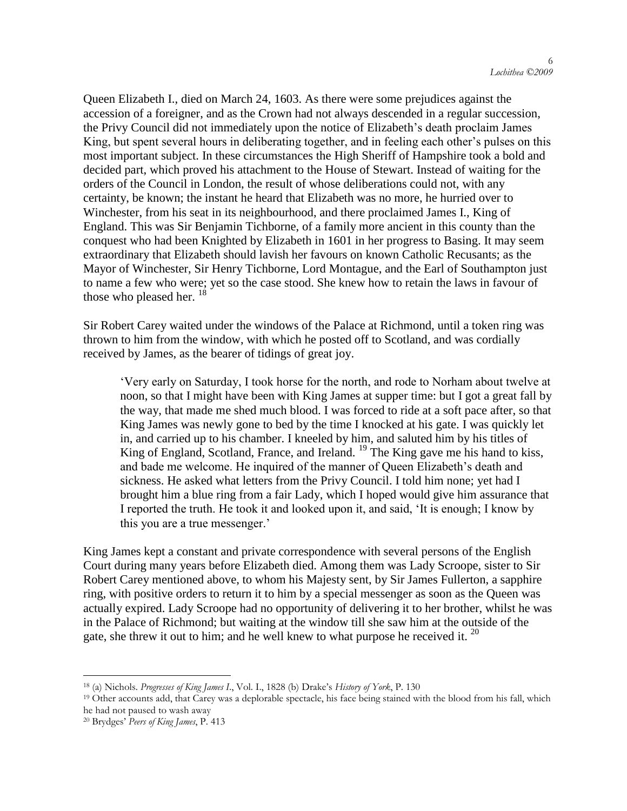Queen Elizabeth I., died on March 24, 1603. As there were some prejudices against the accession of a foreigner, and as the Crown had not always descended in a regular succession, the Privy Council did not immediately upon the notice of Elizabeth's death proclaim James King, but spent several hours in deliberating together, and in feeling each other's pulses on this most important subject. In these circumstances the High Sheriff of Hampshire took a bold and decided part, which proved his attachment to the House of Stewart. Instead of waiting for the orders of the Council in London, the result of whose deliberations could not, with any certainty, be known; the instant he heard that Elizabeth was no more, he hurried over to Winchester, from his seat in its neighbourhood, and there proclaimed James I., King of England. This was Sir Benjamin Tichborne, of a family more ancient in this county than the conquest who had been Knighted by Elizabeth in 1601 in her progress to Basing. It may seem extraordinary that Elizabeth should lavish her favours on known Catholic Recusants; as the Mayor of Winchester, Sir Henry Tichborne, Lord Montague, and the Earl of Southampton just to name a few who were; yet so the case stood. She knew how to retain the laws in favour of those who pleased her.  $^{18}$ 

Sir Robert Carey waited under the windows of the Palace at Richmond, until a token ring was thrown to him from the window, with which he posted off to Scotland, and was cordially received by James, as the bearer of tidings of great joy.

‗Very early on Saturday, I took horse for the north, and rode to Norham about twelve at noon, so that I might have been with King James at supper time: but I got a great fall by the way, that made me shed much blood. I was forced to ride at a soft pace after, so that King James was newly gone to bed by the time I knocked at his gate. I was quickly let in, and carried up to his chamber. I kneeled by him, and saluted him by his titles of King of England, Scotland, France, and Ireland. <sup>19</sup> The King gave me his hand to kiss, and bade me welcome. He inquired of the manner of Queen Elizabeth's death and sickness. He asked what letters from the Privy Council. I told him none; yet had I brought him a blue ring from a fair Lady, which I hoped would give him assurance that I reported the truth. He took it and looked upon it, and said, 'It is enough; I know by this you are a true messenger.'

King James kept a constant and private correspondence with several persons of the English Court during many years before Elizabeth died. Among them was Lady Scroope, sister to Sir Robert Carey mentioned above, to whom his Majesty sent, by Sir James Fullerton, a sapphire ring, with positive orders to return it to him by a special messenger as soon as the Queen was actually expired. Lady Scroope had no opportunity of delivering it to her brother, whilst he was in the Palace of Richmond; but waiting at the window till she saw him at the outside of the gate, she threw it out to him; and he well knew to what purpose he received it.  $^{20}$ 

<sup>18</sup> (a) Nichols. *Progresses of King James I*., Vol. I., 1828 (b) Drake"s *History of York*, P. 130

<sup>&</sup>lt;sup>19</sup> Other accounts add, that Carey was a deplorable spectacle, his face being stained with the blood from his fall, which he had not paused to wash away

<sup>20</sup> Brydges" *Peers of King James*, P. 413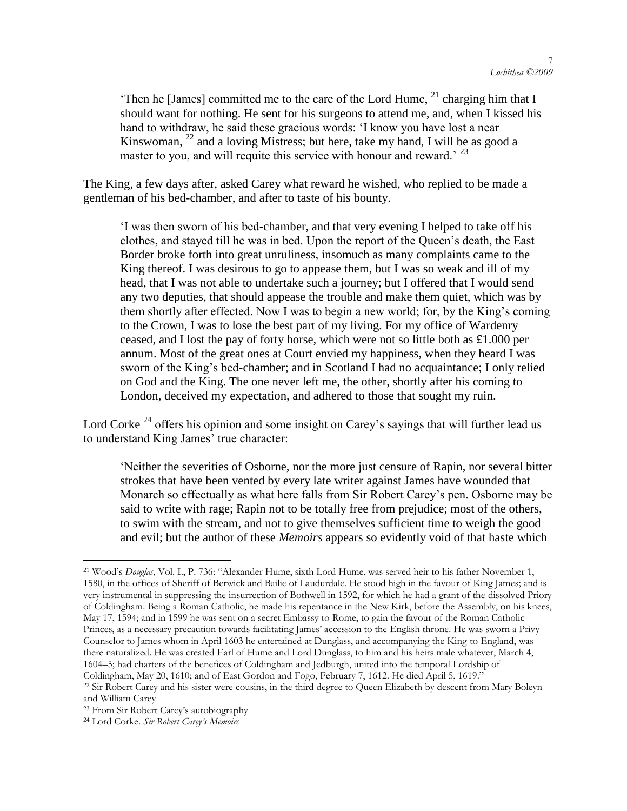Then he [James] committed me to the care of the Lord Hume,  $^{21}$  charging him that I should want for nothing. He sent for his surgeons to attend me, and, when I kissed his hand to withdraw, he said these gracious words: 'I know you have lost a near Kinswoman, <sup>22</sup> and a loving Mistress; but here, take my hand, I will be as good a master to you, and will requite this service with honour and reward.<sup>23</sup>

The King, a few days after, asked Carey what reward he wished, who replied to be made a gentleman of his bed-chamber, and after to taste of his bounty.

‗I was then sworn of his bed-chamber, and that very evening I helped to take off his clothes, and stayed till he was in bed. Upon the report of the Queen's death, the East Border broke forth into great unruliness, insomuch as many complaints came to the King thereof. I was desirous to go to appease them, but I was so weak and ill of my head, that I was not able to undertake such a journey; but I offered that I would send any two deputies, that should appease the trouble and make them quiet, which was by them shortly after effected. Now I was to begin a new world; for, by the King's coming to the Crown, I was to lose the best part of my living. For my office of Wardenry ceased, and I lost the pay of forty horse, which were not so little both as £1.000 per annum. Most of the great ones at Court envied my happiness, when they heard I was sworn of the King's bed-chamber; and in Scotland I had no acquaintance; I only relied on God and the King. The one never left me, the other, shortly after his coming to London, deceived my expectation, and adhered to those that sought my ruin.

Lord Corke<sup>24</sup> offers his opinion and some insight on Carey's sayings that will further lead us to understand King James' true character:

‗Neither the severities of Osborne, nor the more just censure of Rapin, nor several bitter strokes that have been vented by every late writer against James have wounded that Monarch so effectually as what here falls from Sir Robert Carey's pen. Osborne may be said to write with rage; Rapin not to be totally free from prejudice; most of the others, to swim with the stream, and not to give themselves sufficient time to weigh the good and evil; but the author of these *Memoirs* appears so evidently void of that haste which

<sup>21</sup> Wood"s *Douglas*, Vol. I., P. 736: "Alexander Hume, sixth Lord Hume, was served heir to his father November 1, 1580, in the offices of Sheriff of Berwick and Bailie of Laudurdale. He stood high in the favour of King James; and is very instrumental in suppressing the insurrection of Bothwell in 1592, for which he had a grant of the dissolved Priory of Coldingham. Being a Roman Catholic, he made his repentance in the New Kirk, before the Assembly, on his knees, May 17, 1594; and in 1599 he was sent on a secret Embassy to Rome, to gain the favour of the Roman Catholic Princes, as a necessary precaution towards facilitating James" accession to the English throne. He was sworn a Privy Counselor to James whom in April 1603 he entertained at Dunglass, and accompanying the King to England, was there naturalized. He was created Earl of Hume and Lord Dunglass, to him and his heirs male whatever, March 4, 1604–5; had charters of the benefices of Coldingham and Jedburgh, united into the temporal Lordship of Coldingham, May 20, 1610; and of East Gordon and Fogo, February 7, 1612. He died April 5, 1619."

<sup>22</sup> Sir Robert Carey and his sister were cousins, in the third degree to Queen Elizabeth by descent from Mary Boleyn and William Carey

<sup>&</sup>lt;sup>23</sup> From Sir Robert Carey's autobiography

<sup>24</sup> Lord Corke. *Sir Robert Carey's Memoirs*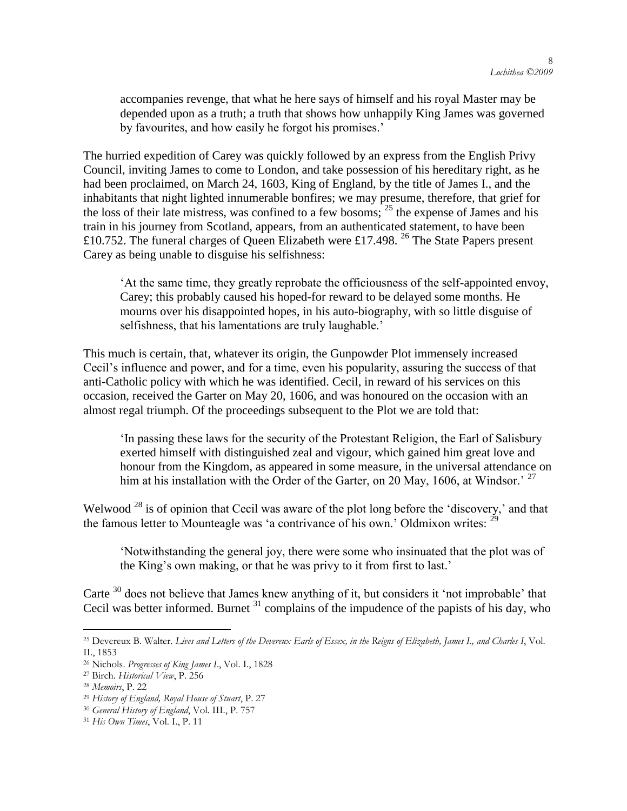accompanies revenge, that what he here says of himself and his royal Master may be depended upon as a truth; a truth that shows how unhappily King James was governed by favourites, and how easily he forgot his promises.'

The hurried expedition of Carey was quickly followed by an express from the English Privy Council, inviting James to come to London, and take possession of his hereditary right, as he had been proclaimed, on March 24, 1603, King of England, by the title of James I., and the inhabitants that night lighted innumerable bonfires; we may presume, therefore, that grief for the loss of their late mistress, was confined to a few bosoms;  $25$  the expense of James and his train in his journey from Scotland, appears, from an authenticated statement, to have been £10.752. The funeral charges of Queen Elizabeth were £17.498. <sup>26</sup> The State Papers present Carey as being unable to disguise his selfishness:

‗At the same time, they greatly reprobate the officiousness of the self-appointed envoy, Carey; this probably caused his hoped-for reward to be delayed some months. He mourns over his disappointed hopes, in his auto-biography, with so little disguise of selfishness, that his lamentations are truly laughable.'

This much is certain, that, whatever its origin, the Gunpowder Plot immensely increased Cecil's influence and power, and for a time, even his popularity, assuring the success of that anti-Catholic policy with which he was identified. Cecil, in reward of his services on this occasion, received the Garter on May 20, 1606, and was honoured on the occasion with an almost regal triumph. Of the proceedings subsequent to the Plot we are told that:

In passing these laws for the security of the Protestant Religion, the Earl of Salisbury exerted himself with distinguished zeal and vigour, which gained him great love and honour from the Kingdom, as appeared in some measure, in the universal attendance on him at his installation with the Order of the Garter, on 20 May, 1606, at Windsor.<sup>27</sup>

Welwood<sup>28</sup> is of opinion that Cecil was aware of the plot long before the 'discovery,' and that the famous letter to Mounteagle was 'a contrivance of his own.' Oldmixon writes:  $^{29}$ 

‗Notwithstanding the general joy, there were some who insinuated that the plot was of the King's own making, or that he was privy to it from first to last.'

Carte  $30$  does not believe that James knew anything of it, but considers it 'not improbable' that Cecil was better informed. Burnet  $31$  complains of the impudence of the papists of his day, who

 $\overline{a}$ <sup>25</sup> Devereux B. Walter. *Lives and Letters of the Devereux Earls of Essex, in the Reigns of Elizabeth, James I., and Charles I*, Vol. II., 1853

<sup>26</sup> Nichols. *Progresses of King James I*., Vol. I., 1828

<sup>27</sup> Birch. *Historical View*, P. 256

<sup>28</sup> *Memoirs*, P. 22

<sup>29</sup> *History of England, Royal House of Stuart*, P. 27

<sup>30</sup> *General History of England*, Vol. III., P. 757

<sup>31</sup> *His Own Times*, Vol. I., P. 11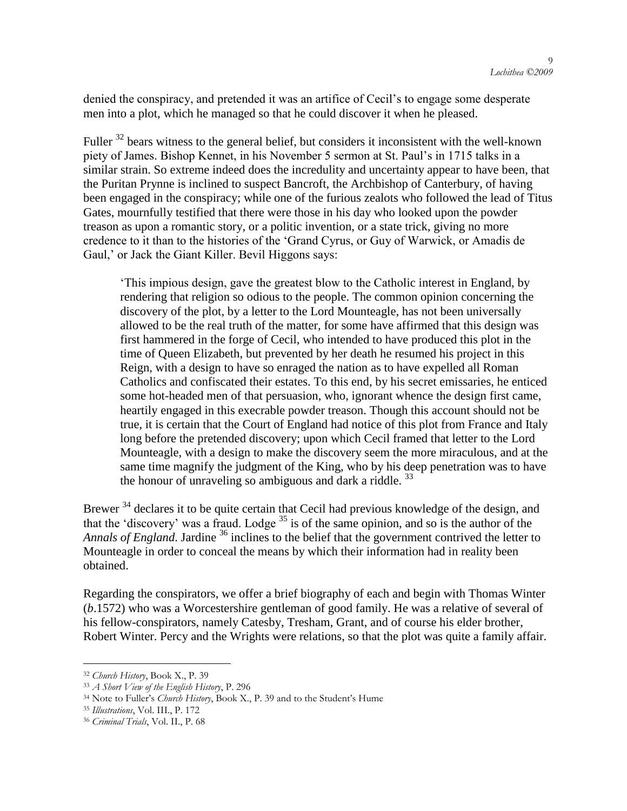denied the conspiracy, and pretended it was an artifice of Cecil's to engage some desperate men into a plot, which he managed so that he could discover it when he pleased.

Fuller <sup>32</sup> bears witness to the general belief, but considers it inconsistent with the well-known piety of James. Bishop Kennet, in his November 5 sermon at St. Paul's in 1715 talks in a similar strain. So extreme indeed does the incredulity and uncertainty appear to have been, that the Puritan Prynne is inclined to suspect Bancroft, the Archbishop of Canterbury, of having been engaged in the conspiracy; while one of the furious zealots who followed the lead of Titus Gates, mournfully testified that there were those in his day who looked upon the powder treason as upon a romantic story, or a politic invention, or a state trick, giving no more credence to it than to the histories of the ‗Grand Cyrus, or Guy of Warwick, or Amadis de Gaul,' or Jack the Giant Killer. Bevil Higgons says:

‗This impious design, gave the greatest blow to the Catholic interest in England, by rendering that religion so odious to the people. The common opinion concerning the discovery of the plot, by a letter to the Lord Mounteagle, has not been universally allowed to be the real truth of the matter, for some have affirmed that this design was first hammered in the forge of Cecil, who intended to have produced this plot in the time of Queen Elizabeth, but prevented by her death he resumed his project in this Reign, with a design to have so enraged the nation as to have expelled all Roman Catholics and confiscated their estates. To this end, by his secret emissaries, he enticed some hot-headed men of that persuasion, who, ignorant whence the design first came, heartily engaged in this execrable powder treason. Though this account should not be true, it is certain that the Court of England had notice of this plot from France and Italy long before the pretended discovery; upon which Cecil framed that letter to the Lord Mounteagle, with a design to make the discovery seem the more miraculous, and at the same time magnify the judgment of the King, who by his deep penetration was to have the honour of unraveling so ambiguous and dark a riddle.  $33$ 

Brewer<sup>34</sup> declares it to be quite certain that Cecil had previous knowledge of the design, and that the 'discovery' was a fraud. Lodge  $35$  is of the same opinion, and so is the author of the *Annals of England*. Jardine <sup>36</sup> inclines to the belief that the government contrived the letter to Mounteagle in order to conceal the means by which their information had in reality been obtained.

Regarding the conspirators, we offer a brief biography of each and begin with Thomas Winter (*b*.1572) who was a Worcestershire gentleman of good family. He was a relative of several of his fellow-conspirators, namely Catesby, Tresham, Grant, and of course his elder brother, Robert Winter. Percy and the Wrights were relations, so that the plot was quite a family affair.

<sup>32</sup> *Church History*, Book X., P. 39

<sup>33</sup> *A Short View of the English History*, P. 296

<sup>&</sup>lt;sup>34</sup> Note to Fuller's *Church History*, Book X., P. 39 and to the Student's Hume

<sup>35</sup> *Illustrations*, Vol. III., P. 172

<sup>36</sup> *Criminal Trials*, Vol. II., P. 68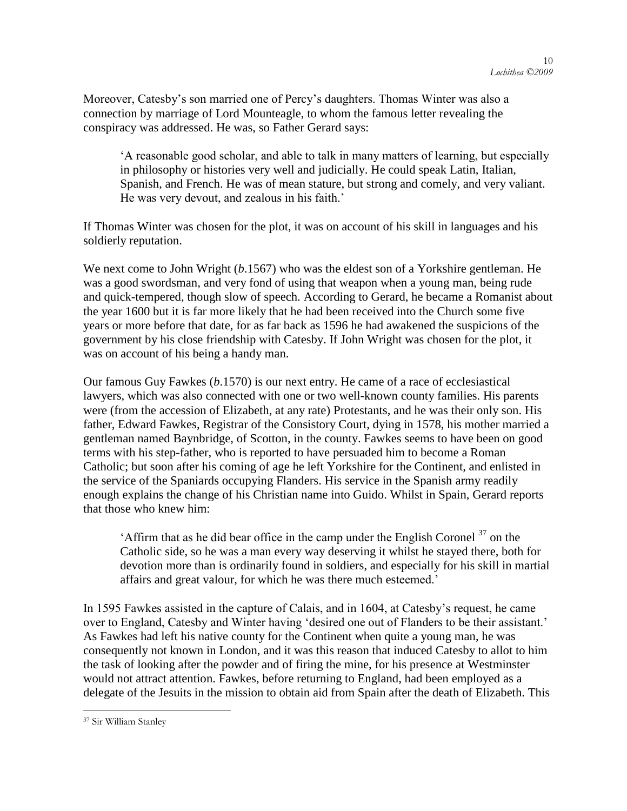Moreover, Catesby's son married one of Percy's daughters. Thomas Winter was also a connection by marriage of Lord Mounteagle, to whom the famous letter revealing the conspiracy was addressed. He was, so Father Gerard says:

‗A reasonable good scholar, and able to talk in many matters of learning, but especially in philosophy or histories very well and judicially. He could speak Latin, Italian, Spanish, and French. He was of mean stature, but strong and comely, and very valiant. He was very devout, and zealous in his faith.'

If Thomas Winter was chosen for the plot, it was on account of his skill in languages and his soldierly reputation.

We next come to John Wright (*b*.1567) who was the eldest son of a Yorkshire gentleman. He was a good swordsman, and very fond of using that weapon when a young man, being rude and quick-tempered, though slow of speech. According to Gerard, he became a Romanist about the year 1600 but it is far more likely that he had been received into the Church some five years or more before that date, for as far back as 1596 he had awakened the suspicions of the government by his close friendship with Catesby. If John Wright was chosen for the plot, it was on account of his being a handy man.

Our famous Guy Fawkes (*b*.1570) is our next entry. He came of a race of ecclesiastical lawyers, which was also connected with one or two well-known county families. His parents were (from the accession of Elizabeth, at any rate) Protestants, and he was their only son. His father, Edward Fawkes, Registrar of the Consistory Court, dying in 1578, his mother married a gentleman named Baynbridge, of Scotton, in the county. Fawkes seems to have been on good terms with his step-father, who is reported to have persuaded him to become a Roman Catholic; but soon after his coming of age he left Yorkshire for the Continent, and enlisted in the service of the Spaniards occupying Flanders. His service in the Spanish army readily enough explains the change of his Christian name into Guido. Whilst in Spain, Gerard reports that those who knew him:

 $'$ Affirm that as he did bear office in the camp under the English Coronel  $^{37}$  on the Catholic side, so he was a man every way deserving it whilst he stayed there, both for devotion more than is ordinarily found in soldiers, and especially for his skill in martial affairs and great valour, for which he was there much esteemed.'

In 1595 Fawkes assisted in the capture of Calais, and in 1604, at Catesby's request, he came over to England, Catesby and Winter having 'desired one out of Flanders to be their assistant.' As Fawkes had left his native county for the Continent when quite a young man, he was consequently not known in London, and it was this reason that induced Catesby to allot to him the task of looking after the powder and of firing the mine, for his presence at Westminster would not attract attention. Fawkes, before returning to England, had been employed as a delegate of the Jesuits in the mission to obtain aid from Spain after the death of Elizabeth. This

<sup>37</sup> Sir William Stanley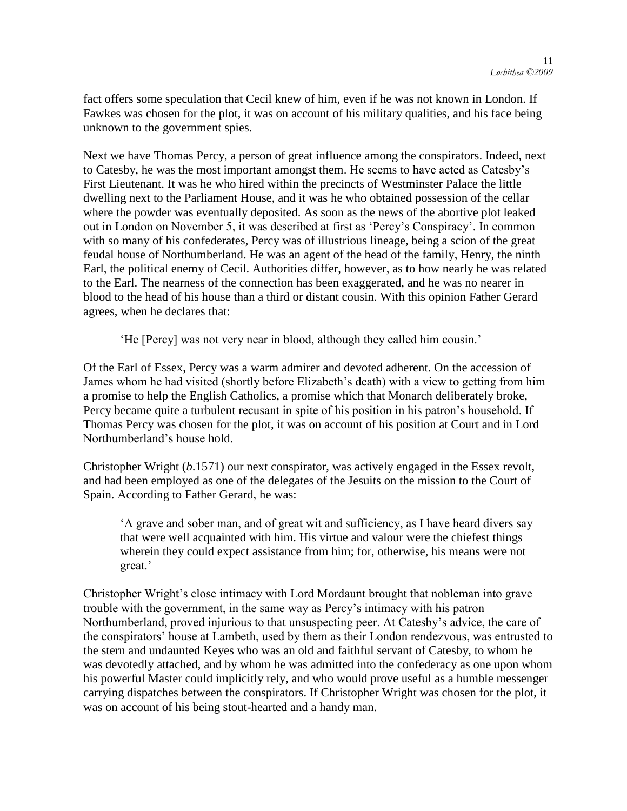fact offers some speculation that Cecil knew of him, even if he was not known in London. If Fawkes was chosen for the plot, it was on account of his military qualities, and his face being unknown to the government spies.

Next we have Thomas Percy, a person of great influence among the conspirators. Indeed, next to Catesby, he was the most important amongst them. He seems to have acted as Catesby's First Lieutenant. It was he who hired within the precincts of Westminster Palace the little dwelling next to the Parliament House, and it was he who obtained possession of the cellar where the powder was eventually deposited. As soon as the news of the abortive plot leaked out in London on November 5, it was described at first as 'Percy's Conspiracy'. In common with so many of his confederates, Percy was of illustrious lineage, being a scion of the great feudal house of Northumberland. He was an agent of the head of the family, Henry, the ninth Earl, the political enemy of Cecil. Authorities differ, however, as to how nearly he was related to the Earl. The nearness of the connection has been exaggerated, and he was no nearer in blood to the head of his house than a third or distant cousin. With this opinion Father Gerard agrees, when he declares that:

‗He [Percy] was not very near in blood, although they called him cousin.'

Of the Earl of Essex, Percy was a warm admirer and devoted adherent. On the accession of James whom he had visited (shortly before Elizabeth's death) with a view to getting from him a promise to help the English Catholics, a promise which that Monarch deliberately broke, Percy became quite a turbulent recusant in spite of his position in his patron's household. If Thomas Percy was chosen for the plot, it was on account of his position at Court and in Lord Northumberland's house hold.

Christopher Wright (*b*.1571) our next conspirator, was actively engaged in the Essex revolt, and had been employed as one of the delegates of the Jesuits on the mission to the Court of Spain. According to Father Gerard, he was:

‗A grave and sober man, and of great wit and sufficiency, as I have heard divers say that were well acquainted with him. His virtue and valour were the chiefest things wherein they could expect assistance from him; for, otherwise, his means were not great.'

Christopher Wright's close intimacy with Lord Mordaunt brought that nobleman into grave trouble with the government, in the same way as Percy's intimacy with his patron Northumberland, proved injurious to that unsuspecting peer. At Catesby's advice, the care of the conspirators' house at Lambeth, used by them as their London rendezvous, was entrusted to the stern and undaunted Keyes who was an old and faithful servant of Catesby, to whom he was devotedly attached, and by whom he was admitted into the confederacy as one upon whom his powerful Master could implicitly rely, and who would prove useful as a humble messenger carrying dispatches between the conspirators. If Christopher Wright was chosen for the plot, it was on account of his being stout-hearted and a handy man.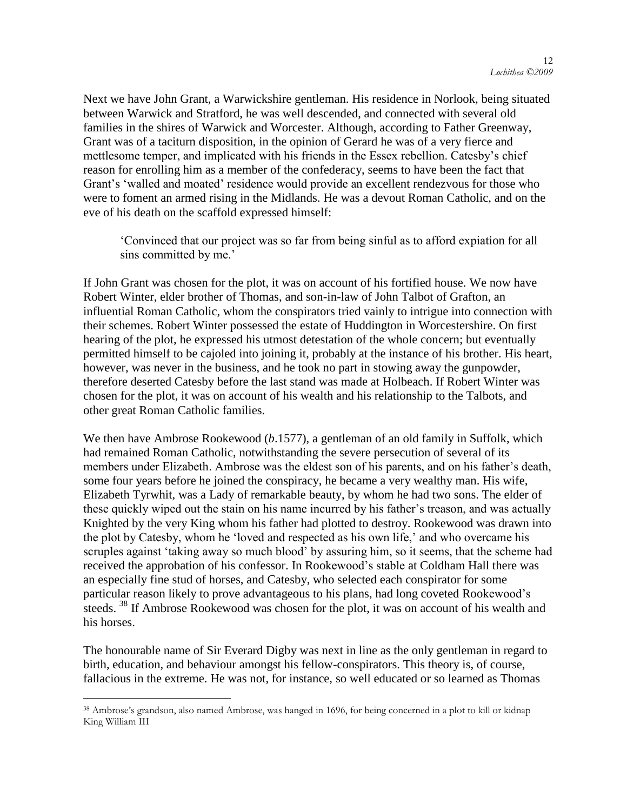Next we have John Grant, a Warwickshire gentleman. His residence in Norlook, being situated between Warwick and Stratford, he was well descended, and connected with several old families in the shires of Warwick and Worcester. Although, according to Father Greenway, Grant was of a taciturn disposition, in the opinion of Gerard he was of a very fierce and mettlesome temper, and implicated with his friends in the Essex rebellion. Catesby's chief reason for enrolling him as a member of the confederacy, seems to have been the fact that Grant's ‗walled and moated' residence would provide an excellent rendezvous for those who were to foment an armed rising in the Midlands. He was a devout Roman Catholic, and on the eve of his death on the scaffold expressed himself:

‗Convinced that our project was so far from being sinful as to afford expiation for all sins committed by me.'

If John Grant was chosen for the plot, it was on account of his fortified house. We now have Robert Winter, elder brother of Thomas, and son-in-law of John Talbot of Grafton, an influential Roman Catholic, whom the conspirators tried vainly to intrigue into connection with their schemes. Robert Winter possessed the estate of Huddington in Worcestershire. On first hearing of the plot, he expressed his utmost detestation of the whole concern; but eventually permitted himself to be cajoled into joining it, probably at the instance of his brother. His heart, however, was never in the business, and he took no part in stowing away the gunpowder, therefore deserted Catesby before the last stand was made at Holbeach. If Robert Winter was chosen for the plot, it was on account of his wealth and his relationship to the Talbots, and other great Roman Catholic families.

We then have Ambrose Rookewood (*b*.1577), a gentleman of an old family in Suffolk, which had remained Roman Catholic, notwithstanding the severe persecution of several of its members under Elizabeth. Ambrose was the eldest son of his parents, and on his father's death, some four years before he joined the conspiracy, he became a very wealthy man. His wife, Elizabeth Tyrwhit, was a Lady of remarkable beauty, by whom he had two sons. The elder of these quickly wiped out the stain on his name incurred by his father's treason, and was actually Knighted by the very King whom his father had plotted to destroy. Rookewood was drawn into the plot by Catesby, whom he 'loved and respected as his own life,' and who overcame his scruples against 'taking away so much blood' by assuring him, so it seems, that the scheme had received the approbation of his confessor. In Rookewood's stable at Coldham Hall there was an especially fine stud of horses, and Catesby, who selected each conspirator for some particular reason likely to prove advantageous to his plans, had long coveted Rookewood's steeds.<sup>38</sup> If Ambrose Rookewood was chosen for the plot, it was on account of his wealth and his horses.

The honourable name of Sir Everard Digby was next in line as the only gentleman in regard to birth, education, and behaviour amongst his fellow-conspirators. This theory is, of course, fallacious in the extreme. He was not, for instance, so well educated or so learned as Thomas

<sup>&</sup>lt;sup>38</sup> Ambrose's grandson, also named Ambrose, was hanged in 1696, for being concerned in a plot to kill or kidnap King William III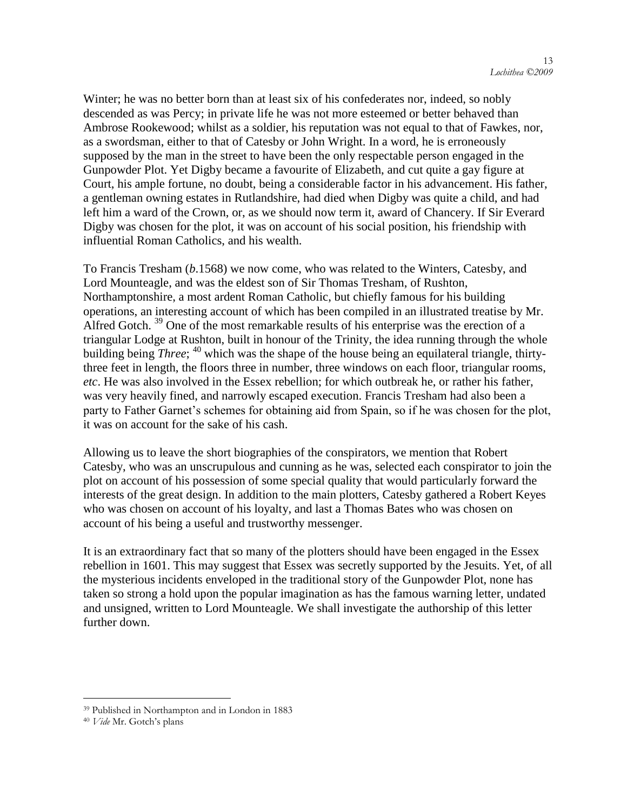Winter; he was no better born than at least six of his confederates nor, indeed, so nobly descended as was Percy; in private life he was not more esteemed or better behaved than Ambrose Rookewood; whilst as a soldier, his reputation was not equal to that of Fawkes, nor, as a swordsman, either to that of Catesby or John Wright. In a word, he is erroneously supposed by the man in the street to have been the only respectable person engaged in the Gunpowder Plot. Yet Digby became a favourite of Elizabeth, and cut quite a gay figure at Court, his ample fortune, no doubt, being a considerable factor in his advancement. His father, a gentleman owning estates in Rutlandshire, had died when Digby was quite a child, and had left him a ward of the Crown, or, as we should now term it, award of Chancery. If Sir Everard Digby was chosen for the plot, it was on account of his social position, his friendship with influential Roman Catholics, and his wealth.

To Francis Tresham (*b*.1568) we now come, who was related to the Winters, Catesby, and Lord Mounteagle, and was the eldest son of Sir Thomas Tresham, of Rushton, Northamptonshire, a most ardent Roman Catholic, but chiefly famous for his building operations, an interesting account of which has been compiled in an illustrated treatise by Mr. Alfred Gotch.<sup>39</sup> One of the most remarkable results of his enterprise was the erection of a triangular Lodge at Rushton, built in honour of the Trinity, the idea running through the whole building being *Three*; <sup>40</sup> which was the shape of the house being an equilateral triangle, thirtythree feet in length, the floors three in number, three windows on each floor, triangular rooms, *etc*. He was also involved in the Essex rebellion; for which outbreak he, or rather his father, was very heavily fined, and narrowly escaped execution. Francis Tresham had also been a party to Father Garnet's schemes for obtaining aid from Spain, so if he was chosen for the plot, it was on account for the sake of his cash.

Allowing us to leave the short biographies of the conspirators, we mention that Robert Catesby, who was an unscrupulous and cunning as he was, selected each conspirator to join the plot on account of his possession of some special quality that would particularly forward the interests of the great design. In addition to the main plotters, Catesby gathered a Robert Keyes who was chosen on account of his loyalty, and last a Thomas Bates who was chosen on account of his being a useful and trustworthy messenger.

It is an extraordinary fact that so many of the plotters should have been engaged in the Essex rebellion in 1601. This may suggest that Essex was secretly supported by the Jesuits. Yet, of all the mysterious incidents enveloped in the traditional story of the Gunpowder Plot, none has taken so strong a hold upon the popular imagination as has the famous warning letter, undated and unsigned, written to Lord Mounteagle. We shall investigate the authorship of this letter further down.

<sup>39</sup> Published in Northampton and in London in 1883

<sup>40</sup> *Vide* Mr. Gotch"s plans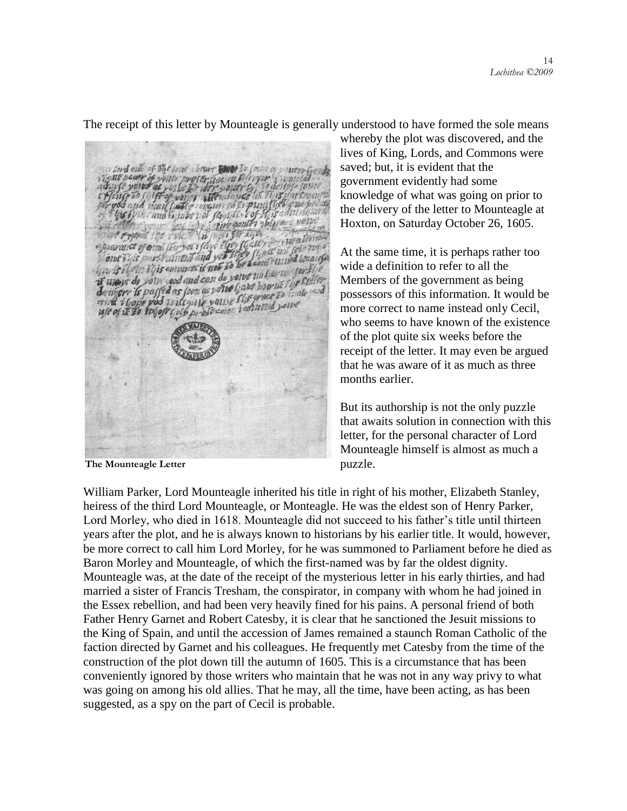The receipt of this letter by Mounteagle is generally understood to have formed the sole means

lien ou His counce volve na barn Jers whow do your good and can do you e us but it is a station unew de poin good and can do eried i Gopp pod wike guje youse the grand sourc<br>use of it to togote golo profession isotuoud sourc

**The Mounteagle Letter**

whereby the plot was discovered, and the lives of King, Lords, and Commons were saved; but, it is evident that the government evidently had some knowledge of what was going on prior to the delivery of the letter to Mounteagle at Hoxton, on Saturday October 26, 1605.

At the same time, it is perhaps rather too wide a definition to refer to all the Members of the government as being possessors of this information. It would be more correct to name instead only Cecil, who seems to have known of the existence of the plot quite six weeks before the receipt of the letter. It may even be argued that he was aware of it as much as three months earlier.

But its authorship is not the only puzzle that awaits solution in connection with this letter, for the personal character of Lord Mounteagle himself is almost as much a puzzle.

William Parker, Lord Mounteagle inherited his title in right of his mother, Elizabeth Stanley, heiress of the third Lord Mounteagle, or Monteagle. He was the eldest son of Henry Parker, Lord Morley, who died in 1618. Mounteagle did not succeed to his father's title until thirteen years after the plot, and he is always known to historians by his earlier title. It would, however, be more correct to call him Lord Morley, for he was summoned to Parliament before he died as Baron Morley and Mounteagle, of which the first-named was by far the oldest dignity. Mounteagle was, at the date of the receipt of the mysterious letter in his early thirties, and had married a sister of Francis Tresham, the conspirator, in company with whom he had joined in the Essex rebellion, and had been very heavily fined for his pains. A personal friend of both Father Henry Garnet and Robert Catesby, it is clear that he sanctioned the Jesuit missions to the King of Spain, and until the accession of James remained a staunch Roman Catholic of the faction directed by Garnet and his colleagues. He frequently met Catesby from the time of the construction of the plot down till the autumn of 1605. This is a circumstance that has been conveniently ignored by those writers who maintain that he was not in any way privy to what was going on among his old allies. That he may, all the time, have been acting, as has been suggested, as a spy on the part of Cecil is probable.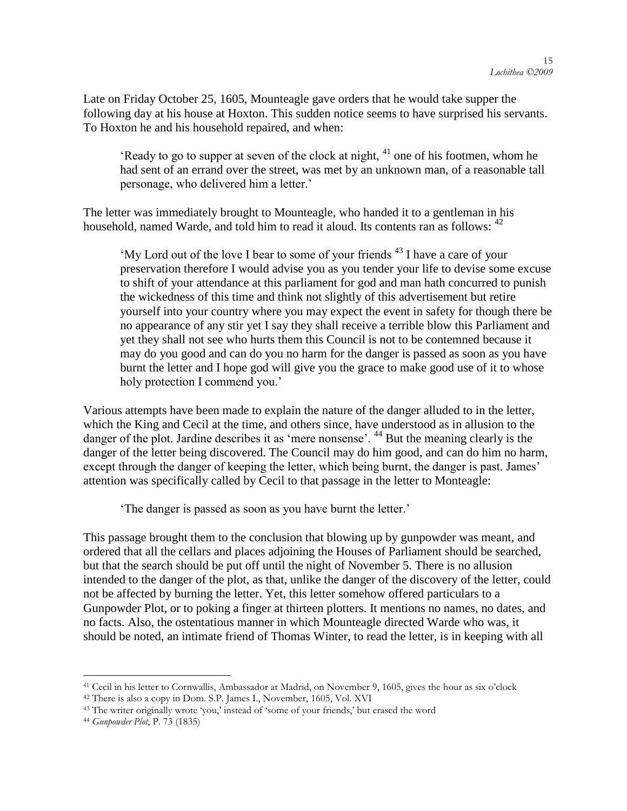Late on Friday October 25, 1605, Mounteagle gave orders that he would take supper the following day at his house at Hoxton. This sudden notice seems to have surprised his servants. To Hoxton he and his household repaired, and when:

'Ready to go to supper at seven of the clock at night,  $41$  one of his footmen, whom he had sent of an errand over the street, was met by an unknown man, of a reasonable tall personage, who delivered him a letter.'

The letter was immediately brought to Mounteagle, who handed it to a gentleman in his household, named Warde, and told him to read it aloud. Its contents ran as follows: <sup>42</sup>

 $^4$ My Lord out of the love I bear to some of your friends  $^{43}$  I have a care of your preservation therefore I would advise you as you tender your life to devise some excuse to shift of your attendance at this parliament for god and man hath concurred to punish the wickedness of this time and think not slightly of this advertisement but retire yourself into your country where you may expect the event in safety for though there be no appearance of any stir yet I say they shall receive a terrible blow this Parliament and yet they shall not see who hurts them this Council is not to be contemned because it may do you good and can do you no harm for the danger is passed as soon as you have burnt the letter and I hope god will give you the grace to make good use of it to whose holy protection I commend you.'

Various attempts have been made to explain the nature of the danger alluded to in the letter, which the King and Cecil at the time, and others since, have understood as in allusion to the danger of the plot. Jardine describes it as 'mere nonsense'. <sup>44</sup> But the meaning clearly is the danger of the letter being discovered. The Council may do him good, and can do him no harm, except through the danger of keeping the letter, which being burnt, the danger is past. James' attention was specifically called by Cecil to that passage in the letter to Monteagle:

The danger is passed as soon as you have burnt the letter.'

This passage brought them to the conclusion that blowing up by gunpowder was meant, and ordered that all the cellars and places adjoining the Houses of Parliament should be searched, but that the search should be put off until the night of November 5. There is no allusion intended to the danger of the plot, as that, unlike the danger of the discovery of the letter, could not be affected by burning the letter. Yet, this letter somehow offered particulars to a Gunpowder Plot, or to poking a finger at thirteen plotters. It mentions no names, no dates, and no facts. Also, the ostentatious manner in which Mounteagle directed Warde who was, it should be noted, an intimate friend of Thomas Winter, to read the letter, is in keeping with all

<sup>41</sup> Cecil in his letter to Cornwallis, Ambassador at Madrid, on November 9, 1605, gives the hour as six o"clock

<sup>42</sup> There is also a copy in Dom. S.P. James I., November, 1605, Vol. XVI

<sup>&</sup>lt;sup>43</sup> The writer originally wrote 'you,' instead of 'some of your friends,' but erased the word

<sup>44</sup> *Gunpowder Plot*, P. 73 (1835)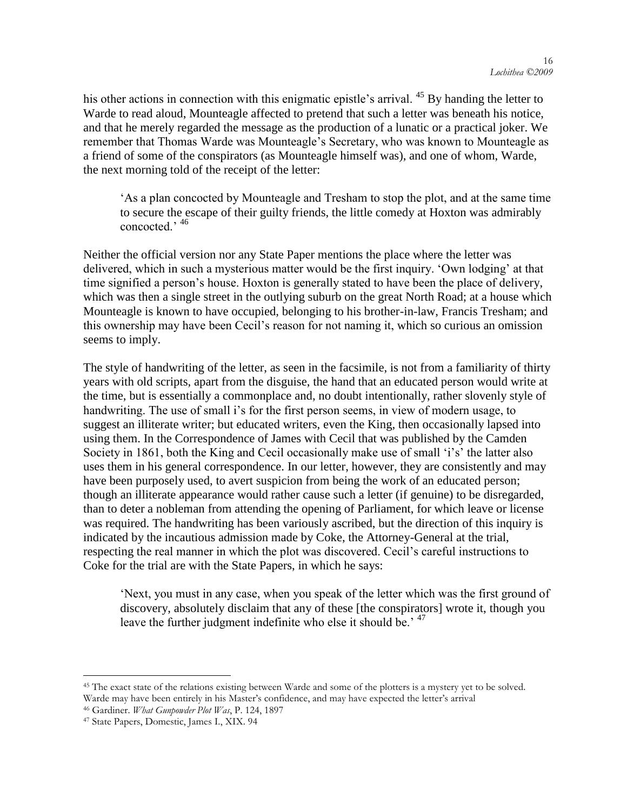his other actions in connection with this enigmatic epistle's arrival. <sup>45</sup> By handing the letter to Warde to read aloud, Mounteagle affected to pretend that such a letter was beneath his notice, and that he merely regarded the message as the production of a lunatic or a practical joker. We remember that Thomas Warde was Mounteagle's Secretary, who was known to Mounteagle as a friend of some of the conspirators (as Mounteagle himself was), and one of whom, Warde, the next morning told of the receipt of the letter:

‗As a plan concocted by Mounteagle and Tresham to stop the plot, and at the same time to secure the escape of their guilty friends, the little comedy at Hoxton was admirably concocted.' <sup>46</sup>

Neither the official version nor any State Paper mentions the place where the letter was delivered, which in such a mysterious matter would be the first inquiry. 'Own lodging' at that time signified a person's house. Hoxton is generally stated to have been the place of delivery, which was then a single street in the outlying suburb on the great North Road; at a house which Mounteagle is known to have occupied, belonging to his brother-in-law, Francis Tresham; and this ownership may have been Cecil's reason for not naming it, which so curious an omission seems to imply.

The style of handwriting of the letter, as seen in the facsimile, is not from a familiarity of thirty years with old scripts, apart from the disguise, the hand that an educated person would write at the time, but is essentially a commonplace and, no doubt intentionally, rather slovenly style of handwriting. The use of small i's for the first person seems, in view of modern usage, to suggest an illiterate writer; but educated writers, even the King, then occasionally lapsed into using them. In the Correspondence of James with Cecil that was published by the Camden Society in 1861, both the King and Cecil occasionally make use of small 'i's' the latter also uses them in his general correspondence. In our letter, however, they are consistently and may have been purposely used, to avert suspicion from being the work of an educated person; though an illiterate appearance would rather cause such a letter (if genuine) to be disregarded, than to deter a nobleman from attending the opening of Parliament, for which leave or license was required. The handwriting has been variously ascribed, but the direction of this inquiry is indicated by the incautious admission made by Coke, the Attorney-General at the trial, respecting the real manner in which the plot was discovered. Cecil's careful instructions to Coke for the trial are with the State Papers, in which he says:

‗Next, you must in any case, when you speak of the letter which was the first ground of discovery, absolutely disclaim that any of these [the conspirators] wrote it, though you leave the further judgment indefinite who else it should be.<sup>47</sup>

<sup>&</sup>lt;sup>45</sup> The exact state of the relations existing between Warde and some of the plotters is a mystery yet to be solved. Warde may have been entirely in his Master"s confidence, and may have expected the letter"s arrival

<sup>46</sup> Gardiner. *What Gunpowder Plot Was*, P. 124, 1897

<sup>47</sup> State Papers, Domestic, James I., XIX. 94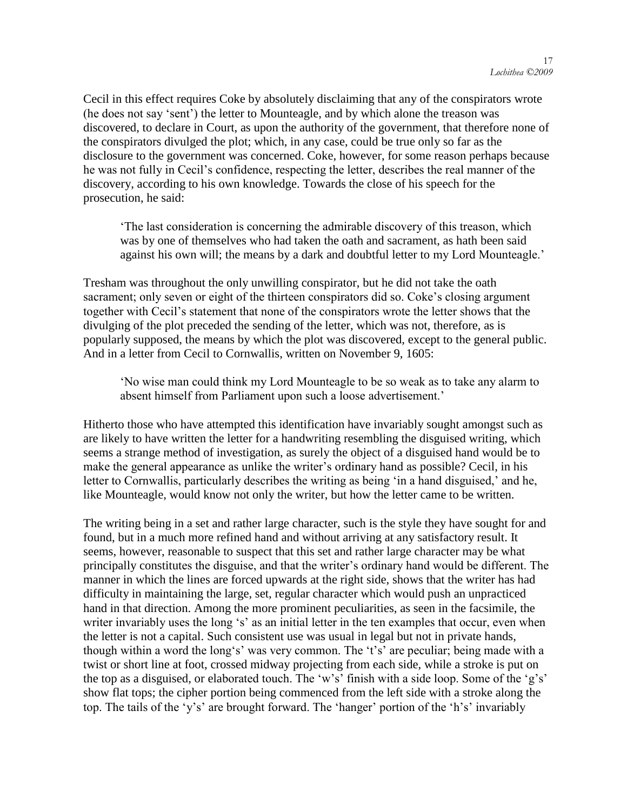Cecil in this effect requires Coke by absolutely disclaiming that any of the conspirators wrote (he does not say 'sent') the letter to Mounteagle, and by which alone the treason was discovered, to declare in Court, as upon the authority of the government, that therefore none of the conspirators divulged the plot; which, in any case, could be true only so far as the disclosure to the government was concerned. Coke, however, for some reason perhaps because he was not fully in Cecil's confidence, respecting the letter, describes the real manner of the discovery, according to his own knowledge. Towards the close of his speech for the prosecution, he said:

‗The last consideration is concerning the admirable discovery of this treason, which was by one of themselves who had taken the oath and sacrament, as hath been said against his own will; the means by a dark and doubtful letter to my Lord Mounteagle.'

Tresham was throughout the only unwilling conspirator, but he did not take the oath sacrament; only seven or eight of the thirteen conspirators did so. Coke's closing argument together with Cecil's statement that none of the conspirators wrote the letter shows that the divulging of the plot preceded the sending of the letter, which was not, therefore, as is popularly supposed, the means by which the plot was discovered, except to the general public. And in a letter from Cecil to Cornwallis, written on November 9, 1605:

‗No wise man could think my Lord Mounteagle to be so weak as to take any alarm to absent himself from Parliament upon such a loose advertisement.'

Hitherto those who have attempted this identification have invariably sought amongst such as are likely to have written the letter for a handwriting resembling the disguised writing, which seems a strange method of investigation, as surely the object of a disguised hand would be to make the general appearance as unlike the writer's ordinary hand as possible? Cecil, in his letter to Cornwallis, particularly describes the writing as being 'in a hand disguised,' and he, like Mounteagle, would know not only the writer, but how the letter came to be written.

The writing being in a set and rather large character, such is the style they have sought for and found, but in a much more refined hand and without arriving at any satisfactory result. It seems, however, reasonable to suspect that this set and rather large character may be what principally constitutes the disguise, and that the writer's ordinary hand would be different. The manner in which the lines are forced upwards at the right side, shows that the writer has had difficulty in maintaining the large, set, regular character which would push an unpracticed hand in that direction. Among the more prominent peculiarities, as seen in the facsimile, the writer invariably uses the long 's' as an initial letter in the ten examples that occur, even when the letter is not a capital. Such consistent use was usual in legal but not in private hands, though within a word the long's' was very common. The 't's' are peculiar; being made with a twist or short line at foot, crossed midway projecting from each side, while a stroke is put on the top as a disguised, or elaborated touch. The 'w's' finish with a side loop. Some of the 'g's' show flat tops; the cipher portion being commenced from the left side with a stroke along the top. The tails of the 'y's' are brought forward. The 'hanger' portion of the 'h's' invariably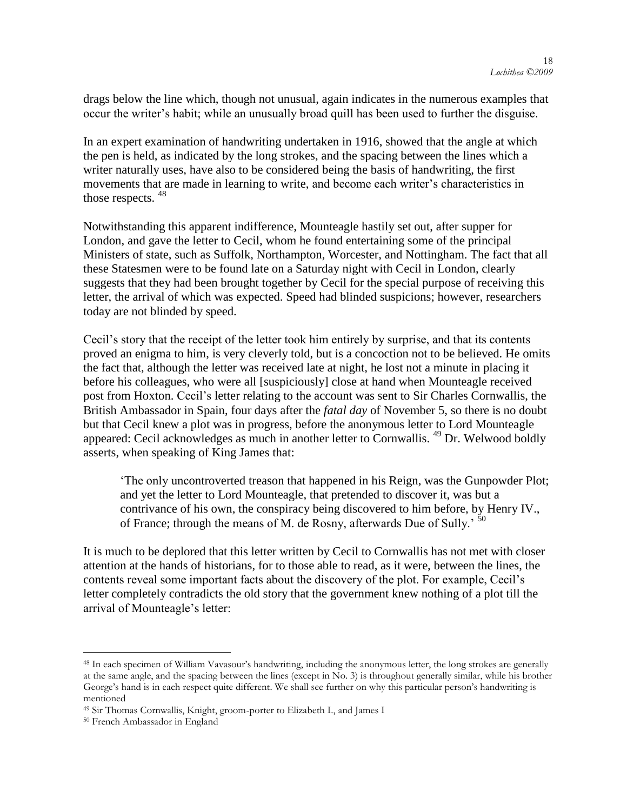drags below the line which, though not unusual, again indicates in the numerous examples that occur the writer's habit; while an unusually broad quill has been used to further the disguise.

In an expert examination of handwriting undertaken in 1916, showed that the angle at which the pen is held, as indicated by the long strokes, and the spacing between the lines which a writer naturally uses, have also to be considered being the basis of handwriting, the first movements that are made in learning to write, and become each writer's characteristics in those respects.  $48$ 

Notwithstanding this apparent indifference, Mounteagle hastily set out, after supper for London, and gave the letter to Cecil, whom he found entertaining some of the principal Ministers of state, such as Suffolk, Northampton, Worcester, and Nottingham. The fact that all these Statesmen were to be found late on a Saturday night with Cecil in London, clearly suggests that they had been brought together by Cecil for the special purpose of receiving this letter, the arrival of which was expected. Speed had blinded suspicions; however, researchers today are not blinded by speed.

Cecil's story that the receipt of the letter took him entirely by surprise, and that its contents proved an enigma to him, is very cleverly told, but is a concoction not to be believed. He omits the fact that, although the letter was received late at night, he lost not a minute in placing it before his colleagues, who were all [suspiciously] close at hand when Mounteagle received post from Hoxton. Cecil's letter relating to the account was sent to Sir Charles Cornwallis, the British Ambassador in Spain, four days after the *fatal day* of November 5, so there is no doubt but that Cecil knew a plot was in progress, before the anonymous letter to Lord Mounteagle appeared: Cecil acknowledges as much in another letter to Cornwallis. <sup>49</sup> Dr. Welwood boldly asserts, when speaking of King James that:

‗The only uncontroverted treason that happened in his Reign, was the Gunpowder Plot; and yet the letter to Lord Mounteagle, that pretended to discover it, was but a contrivance of his own, the conspiracy being discovered to him before, by Henry IV., of France; through the means of M. de Rosny, afterwards Due of Sully.<sup>50</sup>

It is much to be deplored that this letter written by Cecil to Cornwallis has not met with closer attention at the hands of historians, for to those able to read, as it were, between the lines, the contents reveal some important facts about the discovery of the plot. For example, Cecil's letter completely contradicts the old story that the government knew nothing of a plot till the arrival of Mounteagle's letter:

<sup>&</sup>lt;sup>48</sup> In each specimen of William Vavasour's handwriting, including the anonymous letter, the long strokes are generally at the same angle, and the spacing between the lines (except in No. 3) is throughout generally similar, while his brother George's hand is in each respect quite different. We shall see further on why this particular person's handwriting is mentioned

<sup>49</sup> Sir Thomas Cornwallis, Knight, groom-porter to Elizabeth I., and James I

<sup>50</sup> French Ambassador in England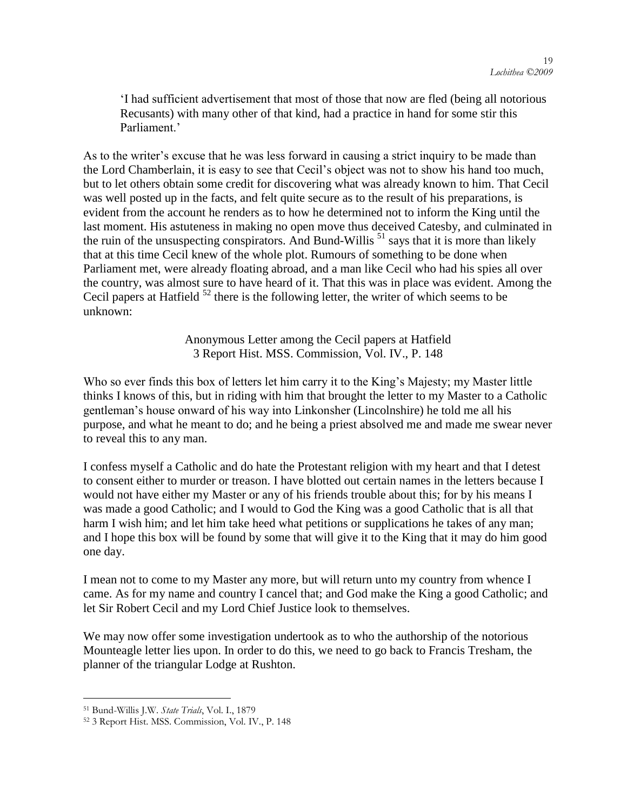‗I had sufficient advertisement that most of those that now are fled (being all notorious Recusants) with many other of that kind, had a practice in hand for some stir this Parliament<sup>'</sup>

As to the writer's excuse that he was less forward in causing a strict inquiry to be made than the Lord Chamberlain, it is easy to see that Cecil's object was not to show his hand too much, but to let others obtain some credit for discovering what was already known to him. That Cecil was well posted up in the facts, and felt quite secure as to the result of his preparations, is evident from the account he renders as to how he determined not to inform the King until the last moment. His astuteness in making no open move thus deceived Catesby, and culminated in the ruin of the unsuspecting conspirators. And Bund-Willis  $51$  says that it is more than likely that at this time Cecil knew of the whole plot. Rumours of something to be done when Parliament met, were already floating abroad, and a man like Cecil who had his spies all over the country, was almost sure to have heard of it. That this was in place was evident. Among the Cecil papers at Hatfield  $52$  there is the following letter, the writer of which seems to be unknown:

> Anonymous Letter among the Cecil papers at Hatfield 3 Report Hist. MSS. Commission, Vol. IV., P. 148

Who so ever finds this box of letters let him carry it to the King's Majesty; my Master little thinks I knows of this, but in riding with him that brought the letter to my Master to a Catholic gentleman's house onward of his way into Linkonsher (Lincolnshire) he told me all his purpose, and what he meant to do; and he being a priest absolved me and made me swear never to reveal this to any man.

I confess myself a Catholic and do hate the Protestant religion with my heart and that I detest to consent either to murder or treason. I have blotted out certain names in the letters because I would not have either my Master or any of his friends trouble about this; for by his means I was made a good Catholic; and I would to God the King was a good Catholic that is all that harm I wish him; and let him take heed what petitions or supplications he takes of any man; and I hope this box will be found by some that will give it to the King that it may do him good one day.

I mean not to come to my Master any more, but will return unto my country from whence I came. As for my name and country I cancel that; and God make the King a good Catholic; and let Sir Robert Cecil and my Lord Chief Justice look to themselves.

We may now offer some investigation undertook as to who the authorship of the notorious Mounteagle letter lies upon. In order to do this, we need to go back to Francis Tresham, the planner of the triangular Lodge at Rushton.

<sup>51</sup> Bund-Willis J.W. *State Trials*, Vol. I., 1879

<sup>52</sup> 3 Report Hist. MSS. Commission, Vol. IV., P. 148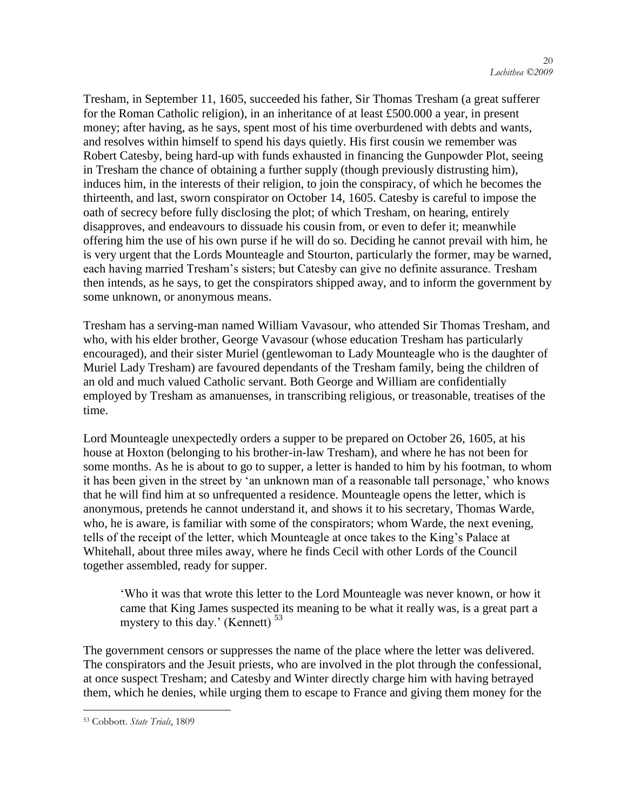Tresham, in September 11, 1605, succeeded his father, Sir Thomas Tresham (a great sufferer for the Roman Catholic religion), in an inheritance of at least £500.000 a year, in present money; after having, as he says, spent most of his time overburdened with debts and wants, and resolves within himself to spend his days quietly. His first cousin we remember was Robert Catesby, being hard-up with funds exhausted in financing the Gunpowder Plot, seeing in Tresham the chance of obtaining a further supply (though previously distrusting him), induces him, in the interests of their religion, to join the conspiracy, of which he becomes the thirteenth, and last, sworn conspirator on October 14, 1605. Catesby is careful to impose the oath of secrecy before fully disclosing the plot; of which Tresham, on hearing, entirely disapproves, and endeavours to dissuade his cousin from, or even to defer it; meanwhile offering him the use of his own purse if he will do so. Deciding he cannot prevail with him, he is very urgent that the Lords Mounteagle and Stourton, particularly the former, may be warned, each having married Tresham's sisters; but Catesby can give no definite assurance. Tresham then intends, as he says, to get the conspirators shipped away, and to inform the government by some unknown, or anonymous means.

Tresham has a serving-man named William Vavasour, who attended Sir Thomas Tresham, and who, with his elder brother, George Vavasour (whose education Tresham has particularly encouraged), and their sister Muriel (gentlewoman to Lady Mounteagle who is the daughter of Muriel Lady Tresham) are favoured dependants of the Tresham family, being the children of an old and much valued Catholic servant. Both George and William are confidentially employed by Tresham as amanuenses, in transcribing religious, or treasonable, treatises of the time.

Lord Mounteagle unexpectedly orders a supper to be prepared on October 26, 1605, at his house at Hoxton (belonging to his brother-in-law Tresham), and where he has not been for some months. As he is about to go to supper, a letter is handed to him by his footman, to whom it has been given in the street by 'an unknown man of a reasonable tall personage,' who knows that he will find him at so unfrequented a residence. Mounteagle opens the letter, which is anonymous, pretends he cannot understand it, and shows it to his secretary, Thomas Warde, who, he is aware, is familiar with some of the conspirators; whom Warde, the next evening, tells of the receipt of the letter, which Mounteagle at once takes to the King's Palace at Whitehall, about three miles away, where he finds Cecil with other Lords of the Council together assembled, ready for supper.

‗Who it was that wrote this letter to the Lord Mounteagle was never known, or how it came that King James suspected its meaning to be what it really was, is a great part a mystery to this day.' (Kennett)  $53$ 

The government censors or suppresses the name of the place where the letter was delivered. The conspirators and the Jesuit priests, who are involved in the plot through the confessional, at once suspect Tresham; and Catesby and Winter directly charge him with having betrayed them, which he denies, while urging them to escape to France and giving them money for the

<sup>53</sup> Cobbott. *State Trials*, 1809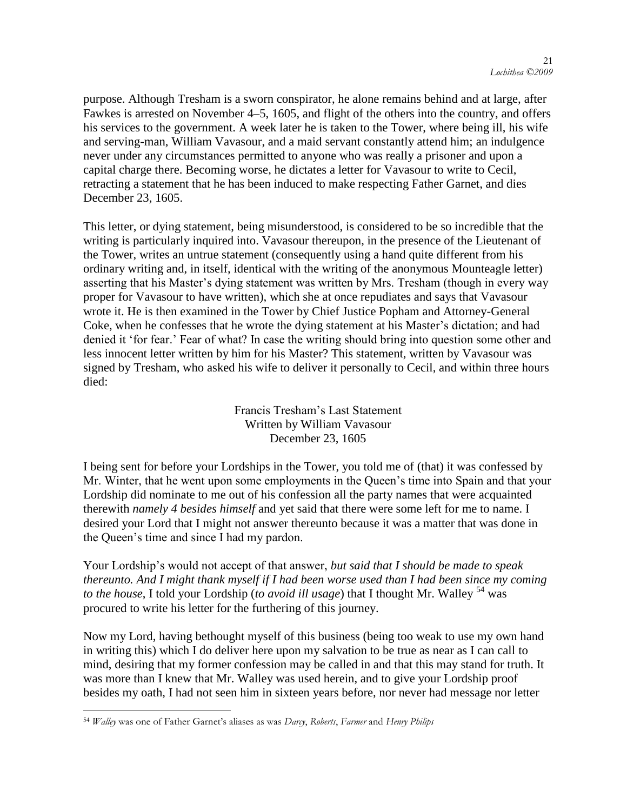purpose. Although Tresham is a sworn conspirator, he alone remains behind and at large, after Fawkes is arrested on November 4–5, 1605, and flight of the others into the country, and offers his services to the government. A week later he is taken to the Tower, where being ill, his wife and serving-man, William Vavasour, and a maid servant constantly attend him; an indulgence never under any circumstances permitted to anyone who was really a prisoner and upon a capital charge there. Becoming worse, he dictates a letter for Vavasour to write to Cecil, retracting a statement that he has been induced to make respecting Father Garnet, and dies December 23, 1605.

This letter, or dying statement, being misunderstood, is considered to be so incredible that the writing is particularly inquired into. Vavasour thereupon, in the presence of the Lieutenant of the Tower, writes an untrue statement (consequently using a hand quite different from his ordinary writing and, in itself, identical with the writing of the anonymous Mounteagle letter) asserting that his Master's dying statement was written by Mrs. Tresham (though in every way proper for Vavasour to have written), which she at once repudiates and says that Vavasour wrote it. He is then examined in the Tower by Chief Justice Popham and Attorney-General Coke, when he confesses that he wrote the dying statement at his Master's dictation; and had denied it 'for fear.' Fear of what? In case the writing should bring into question some other and less innocent letter written by him for his Master? This statement, written by Vavasour was signed by Tresham, who asked his wife to deliver it personally to Cecil, and within three hours died:

> Francis Tresham's Last Statement Written by William Vavasour December 23, 1605

I being sent for before your Lordships in the Tower, you told me of (that) it was confessed by Mr. Winter, that he went upon some employments in the Queen's time into Spain and that your Lordship did nominate to me out of his confession all the party names that were acquainted therewith *namely 4 besides himself* and yet said that there were some left for me to name. I desired your Lord that I might not answer thereunto because it was a matter that was done in the Queen's time and since I had my pardon.

Your Lordship's would not accept of that answer, *but said that I should be made to speak thereunto. And I might thank myself if I had been worse used than I had been since my coming to the house*, I told your Lordship (*to avoid ill usage*) that I thought Mr. Walley <sup>54</sup> was procured to write his letter for the furthering of this journey.

Now my Lord, having bethought myself of this business (being too weak to use my own hand in writing this) which I do deliver here upon my salvation to be true as near as I can call to mind, desiring that my former confession may be called in and that this may stand for truth. It was more than I knew that Mr. Walley was used herein, and to give your Lordship proof besides my oath, I had not seen him in sixteen years before, nor never had message nor letter

<sup>54</sup> *Walley* was one of Father Garnet"s aliases as was *Darcy*, *Roberts*, *Farmer* and *Henry Philips*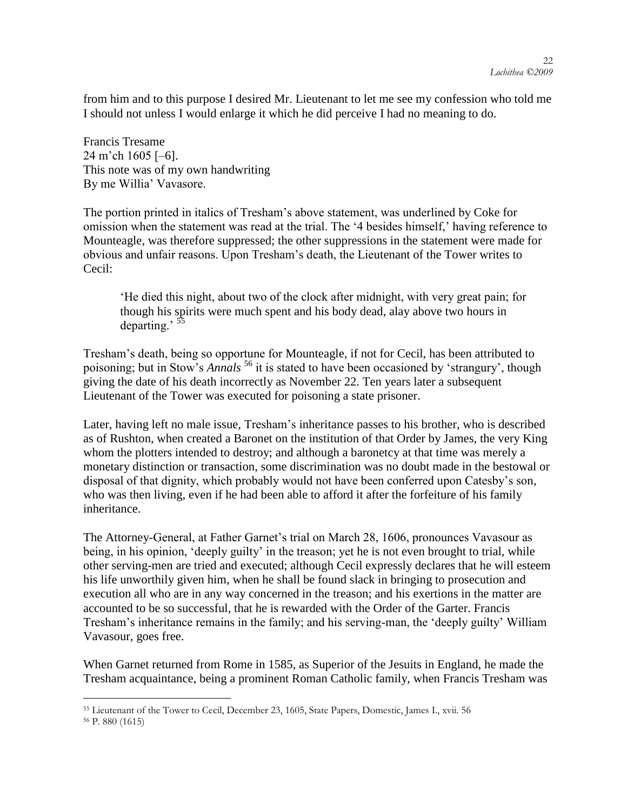from him and to this purpose I desired Mr. Lieutenant to let me see my confession who told me I should not unless I would enlarge it which he did perceive I had no meaning to do.

Francis Tresame 24 m'ch 1605 [–6]. This note was of my own handwriting By me Willia' Vavasore.

The portion printed in italics of Tresham's above statement, was underlined by Coke for omission when the statement was read at the trial. The '4 besides himself,' having reference to Mounteagle, was therefore suppressed; the other suppressions in the statement were made for obvious and unfair reasons. Upon Tresham's death, the Lieutenant of the Tower writes to Cecil:

‗He died this night, about two of the clock after midnight, with very great pain; for though his spirits were much spent and his body dead, alay above two hours in departing.' <sup>55</sup>

Tresham's death, being so opportune for Mounteagle, if not for Cecil, has been attributed to poisoning; but in Stow's *Annals* <sup>56</sup> it is stated to have been occasioned by 'strangury', though giving the date of his death incorrectly as November 22. Ten years later a subsequent Lieutenant of the Tower was executed for poisoning a state prisoner.

Later, having left no male issue, Tresham's inheritance passes to his brother, who is described as of Rushton, when created a Baronet on the institution of that Order by James, the very King whom the plotters intended to destroy; and although a baronetcy at that time was merely a monetary distinction or transaction, some discrimination was no doubt made in the bestowal or disposal of that dignity, which probably would not have been conferred upon Catesby's son, who was then living, even if he had been able to afford it after the forfeiture of his family inheritance.

The Attorney-General, at Father Garnet's trial on March 28, 1606, pronounces Vavasour as being, in his opinion, 'deeply guilty' in the treason; yet he is not even brought to trial, while other serving-men are tried and executed; although Cecil expressly declares that he will esteem his life unworthily given him, when he shall be found slack in bringing to prosecution and execution all who are in any way concerned in the treason; and his exertions in the matter are accounted to be so successful, that he is rewarded with the Order of the Garter. Francis Tresham's inheritance remains in the family; and his serving-man, the 'deeply guilty' William Vavasour, goes free.

When Garnet returned from Rome in 1585, as Superior of the Jesuits in England, he made the Tresham acquaintance, being a prominent Roman Catholic family, when Francis Tresham was

 $\overline{a}$ <sup>55</sup> Lieutenant of the Tower to Cecil, December 23, 1605, State Papers, Domestic, James I., xvii. 56

<sup>56</sup> P. 880 (1615)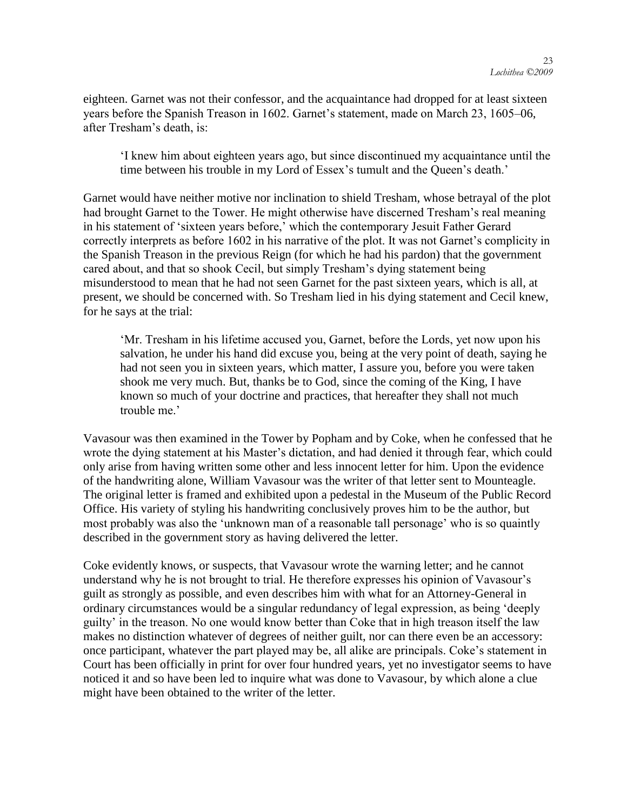eighteen. Garnet was not their confessor, and the acquaintance had dropped for at least sixteen years before the Spanish Treason in 1602. Garnet's statement, made on March 23, 1605–06, after Tresham's death, is:

‗I knew him about eighteen years ago, but since discontinued my acquaintance until the time between his trouble in my Lord of Essex's tumult and the Queen's death.'

Garnet would have neither motive nor inclination to shield Tresham, whose betrayal of the plot had brought Garnet to the Tower. He might otherwise have discerned Tresham's real meaning in his statement of 'sixteen years before,' which the contemporary Jesuit Father Gerard correctly interprets as before 1602 in his narrative of the plot. It was not Garnet's complicity in the Spanish Treason in the previous Reign (for which he had his pardon) that the government cared about, and that so shook Cecil, but simply Tresham's dying statement being misunderstood to mean that he had not seen Garnet for the past sixteen years, which is all, at present, we should be concerned with. So Tresham lied in his dying statement and Cecil knew, for he says at the trial:

‗Mr. Tresham in his lifetime accused you, Garnet, before the Lords, yet now upon his salvation, he under his hand did excuse you, being at the very point of death, saying he had not seen you in sixteen years, which matter, I assure you, before you were taken shook me very much. But, thanks be to God, since the coming of the King, I have known so much of your doctrine and practices, that hereafter they shall not much trouble me.'

Vavasour was then examined in the Tower by Popham and by Coke, when he confessed that he wrote the dying statement at his Master's dictation, and had denied it through fear, which could only arise from having written some other and less innocent letter for him. Upon the evidence of the handwriting alone, William Vavasour was the writer of that letter sent to Mounteagle. The original letter is framed and exhibited upon a pedestal in the Museum of the Public Record Office. His variety of styling his handwriting conclusively proves him to be the author, but most probably was also the 'unknown man of a reasonable tall personage' who is so quaintly described in the government story as having delivered the letter.

Coke evidently knows, or suspects, that Vavasour wrote the warning letter; and he cannot understand why he is not brought to trial. He therefore expresses his opinion of Vavasour's guilt as strongly as possible, and even describes him with what for an Attorney-General in ordinary circumstances would be a singular redundancy of legal expression, as being 'deeply guilty' in the treason. No one would know better than Coke that in high treason itself the law makes no distinction whatever of degrees of neither guilt, nor can there even be an accessory: once participant, whatever the part played may be, all alike are principals. Coke's statement in Court has been officially in print for over four hundred years, yet no investigator seems to have noticed it and so have been led to inquire what was done to Vavasour, by which alone a clue might have been obtained to the writer of the letter.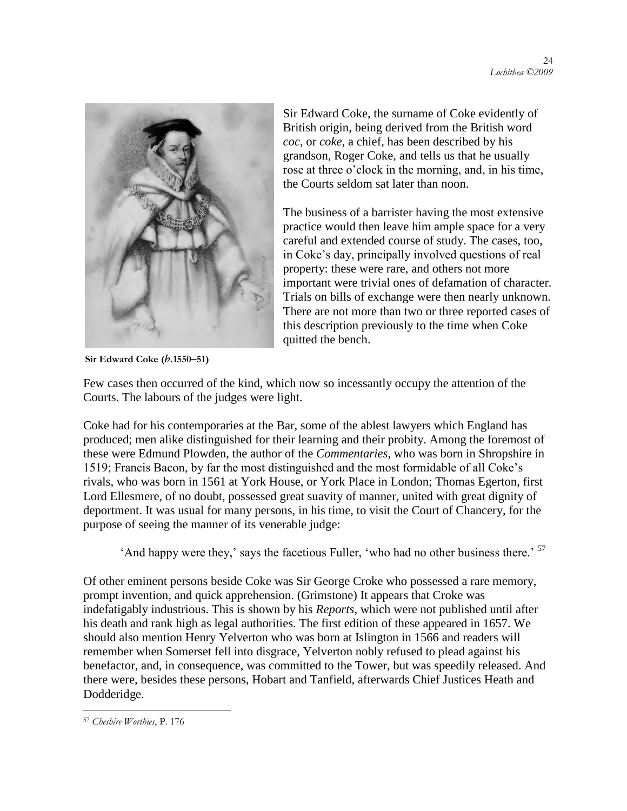

Sir Edward Coke, the surname of Coke evidently of British origin, being derived from the British word *coc*, or *coke*, a chief, has been described by his grandson, Roger Coke, and tells us that he usually rose at three o'clock in the morning, and, in his time, the Courts seldom sat later than noon.

The business of a barrister having the most extensive practice would then leave him ample space for a very careful and extended course of study. The cases, too, in Coke's day, principally involved questions of real property: these were rare, and others not more important were trivial ones of defamation of character. Trials on bills of exchange were then nearly unknown. There are not more than two or three reported cases of this description previously to the time when Coke quitted the bench.

**Sir Edward Coke (***b***.1550–51)**

Few cases then occurred of the kind, which now so incessantly occupy the attention of the Courts. The labours of the judges were light.

Coke had for his contemporaries at the Bar, some of the ablest lawyers which England has produced; men alike distinguished for their learning and their probity. Among the foremost of these were Edmund Plowden, the author of the *Commentaries*, who was born in Shropshire in 1519; Francis Bacon, by far the most distinguished and the most formidable of all Coke's rivals, who was born in 1561 at York House, or York Place in London; Thomas Egerton, first Lord Ellesmere, of no doubt, possessed great suavity of manner, united with great dignity of deportment. It was usual for many persons, in his time, to visit the Court of Chancery, for the purpose of seeing the manner of its venerable judge:

 $'$ And happy were they,' says the facetious Fuller, 'who had no other business there.'  $^{57}$ 

Of other eminent persons beside Coke was Sir George Croke who possessed a rare memory, prompt invention, and quick apprehension. (Grimstone) It appears that Croke was indefatigably industrious. This is shown by his *Reports*, which were not published until after his death and rank high as legal authorities. The first edition of these appeared in 1657. We should also mention Henry Yelverton who was born at Islington in 1566 and readers will remember when Somerset fell into disgrace, Yelverton nobly refused to plead against his benefactor, and, in consequence, was committed to the Tower, but was speedily released. And there were, besides these persons, Hobart and Tanfield, afterwards Chief Justices Heath and Dodderidge.

<sup>57</sup> *Cheshire Worthies*, P. 176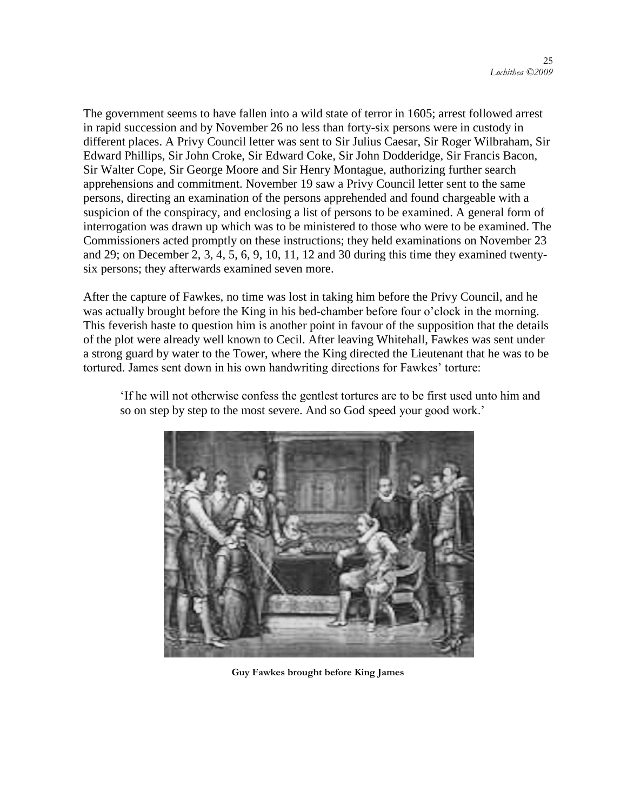The government seems to have fallen into a wild state of terror in 1605; arrest followed arrest in rapid succession and by November 26 no less than forty-six persons were in custody in different places. A Privy Council letter was sent to Sir Julius Caesar, Sir Roger Wilbraham, Sir Edward Phillips, Sir John Croke, Sir Edward Coke, Sir John Dodderidge, Sir Francis Bacon, Sir Walter Cope, Sir George Moore and Sir Henry Montague, authorizing further search apprehensions and commitment. November 19 saw a Privy Council letter sent to the same persons, directing an examination of the persons apprehended and found chargeable with a suspicion of the conspiracy, and enclosing a list of persons to be examined. A general form of interrogation was drawn up which was to be ministered to those who were to be examined. The Commissioners acted promptly on these instructions; they held examinations on November 23 and 29; on December 2, 3, 4, 5, 6, 9, 10, 11, 12 and 30 during this time they examined twentysix persons; they afterwards examined seven more.

After the capture of Fawkes, no time was lost in taking him before the Privy Council, and he was actually brought before the King in his bed-chamber before four o'clock in the morning. This feverish haste to question him is another point in favour of the supposition that the details of the plot were already well known to Cecil. After leaving Whitehall, Fawkes was sent under a strong guard by water to the Tower, where the King directed the Lieutenant that he was to be tortured. James sent down in his own handwriting directions for Fawkes' torture:



‗If he will not otherwise confess the gentlest tortures are to be first used unto him and so on step by step to the most severe. And so God speed your good work.'

**Guy Fawkes brought before King James**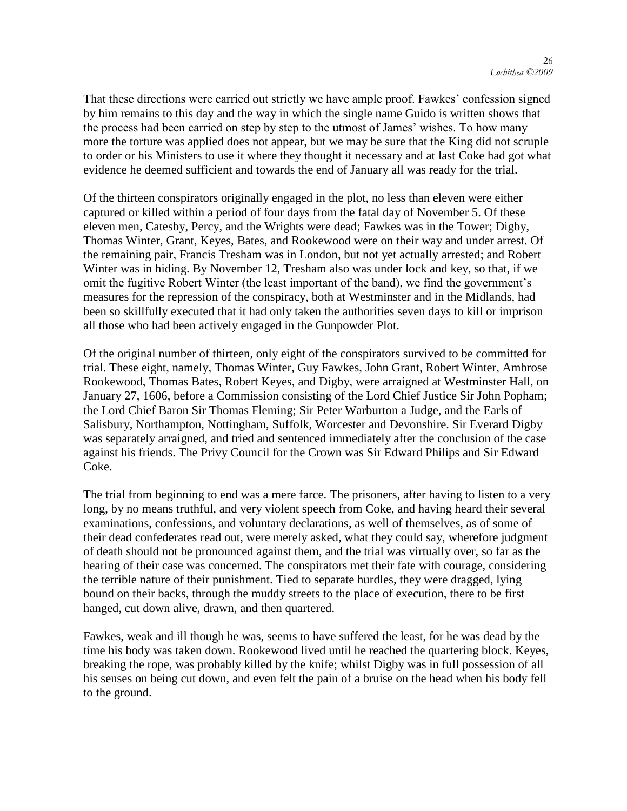That these directions were carried out strictly we have ample proof. Fawkes' confession signed by him remains to this day and the way in which the single name Guido is written shows that the process had been carried on step by step to the utmost of James' wishes. To how many more the torture was applied does not appear, but we may be sure that the King did not scruple to order or his Ministers to use it where they thought it necessary and at last Coke had got what evidence he deemed sufficient and towards the end of January all was ready for the trial.

Of the thirteen conspirators originally engaged in the plot, no less than eleven were either captured or killed within a period of four days from the fatal day of November 5. Of these eleven men, Catesby, Percy, and the Wrights were dead; Fawkes was in the Tower; Digby, Thomas Winter, Grant, Keyes, Bates, and Rookewood were on their way and under arrest. Of the remaining pair, Francis Tresham was in London, but not yet actually arrested; and Robert Winter was in hiding. By November 12, Tresham also was under lock and key, so that, if we omit the fugitive Robert Winter (the least important of the band), we find the government's measures for the repression of the conspiracy, both at Westminster and in the Midlands, had been so skillfully executed that it had only taken the authorities seven days to kill or imprison all those who had been actively engaged in the Gunpowder Plot.

Of the original number of thirteen, only eight of the conspirators survived to be committed for trial. These eight, namely, Thomas Winter, Guy Fawkes, John Grant, Robert Winter, Ambrose Rookewood, Thomas Bates, Robert Keyes, and Digby, were arraigned at Westminster Hall, on January 27, 1606, before a Commission consisting of the Lord Chief Justice Sir John Popham; the Lord Chief Baron Sir Thomas Fleming; Sir Peter Warburton a Judge, and the Earls of Salisbury, Northampton, Nottingham, Suffolk, Worcester and Devonshire. Sir Everard Digby was separately arraigned, and tried and sentenced immediately after the conclusion of the case against his friends. The Privy Council for the Crown was Sir Edward Philips and Sir Edward Coke.

The trial from beginning to end was a mere farce. The prisoners, after having to listen to a very long, by no means truthful, and very violent speech from Coke, and having heard their several examinations, confessions, and voluntary declarations, as well of themselves, as of some of their dead confederates read out, were merely asked, what they could say, wherefore judgment of death should not be pronounced against them, and the trial was virtually over, so far as the hearing of their case was concerned. The conspirators met their fate with courage, considering the terrible nature of their punishment. Tied to separate hurdles, they were dragged, lying bound on their backs, through the muddy streets to the place of execution, there to be first hanged, cut down alive, drawn, and then quartered.

Fawkes, weak and ill though he was, seems to have suffered the least, for he was dead by the time his body was taken down. Rookewood lived until he reached the quartering block. Keyes, breaking the rope, was probably killed by the knife; whilst Digby was in full possession of all his senses on being cut down, and even felt the pain of a bruise on the head when his body fell to the ground.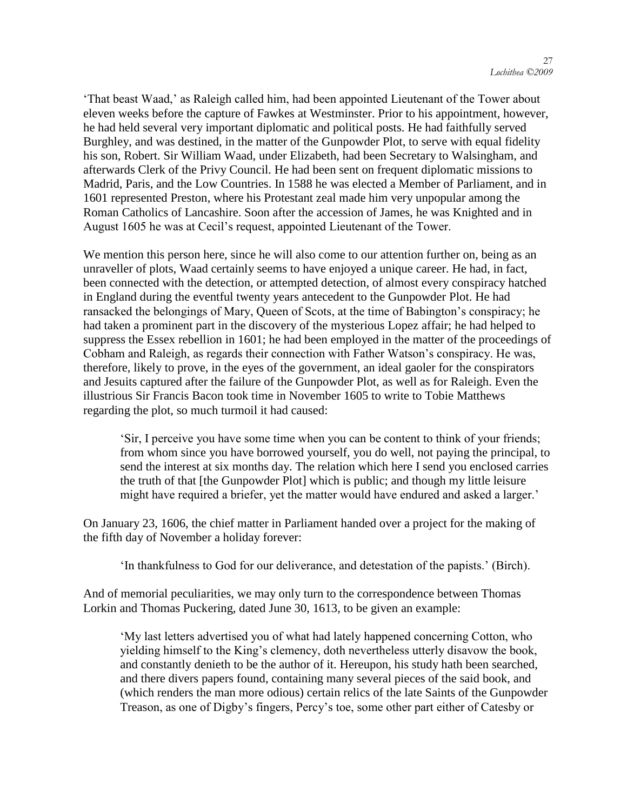‗That beast Waad,' as Raleigh called him, had been appointed Lieutenant of the Tower about eleven weeks before the capture of Fawkes at Westminster. Prior to his appointment, however, he had held several very important diplomatic and political posts. He had faithfully served Burghley, and was destined, in the matter of the Gunpowder Plot, to serve with equal fidelity his son, Robert. Sir William Waad, under Elizabeth, had been Secretary to Walsingham, and afterwards Clerk of the Privy Council. He had been sent on frequent diplomatic missions to Madrid, Paris, and the Low Countries. In 1588 he was elected a Member of Parliament, and in 1601 represented Preston, where his Protestant zeal made him very unpopular among the Roman Catholics of Lancashire. Soon after the accession of James, he was Knighted and in August 1605 he was at Cecil's request, appointed Lieutenant of the Tower.

We mention this person here, since he will also come to our attention further on, being as an unraveller of plots, Waad certainly seems to have enjoyed a unique career. He had, in fact, been connected with the detection, or attempted detection, of almost every conspiracy hatched in England during the eventful twenty years antecedent to the Gunpowder Plot. He had ransacked the belongings of Mary, Queen of Scots, at the time of Babington's conspiracy; he had taken a prominent part in the discovery of the mysterious Lopez affair; he had helped to suppress the Essex rebellion in 1601; he had been employed in the matter of the proceedings of Cobham and Raleigh, as regards their connection with Father Watson's conspiracy. He was, therefore, likely to prove, in the eyes of the government, an ideal gaoler for the conspirators and Jesuits captured after the failure of the Gunpowder Plot, as well as for Raleigh. Even the illustrious Sir Francis Bacon took time in November 1605 to write to Tobie Matthews regarding the plot, so much turmoil it had caused:

‗Sir, I perceive you have some time when you can be content to think of your friends; from whom since you have borrowed yourself, you do well, not paying the principal, to send the interest at six months day. The relation which here I send you enclosed carries the truth of that [the Gunpowder Plot] which is public; and though my little leisure might have required a briefer, yet the matter would have endured and asked a larger.'

On January 23, 1606, the chief matter in Parliament handed over a project for the making of the fifth day of November a holiday forever:

‗In thankfulness to God for our deliverance, and detestation of the papists.' (Birch).

And of memorial peculiarities, we may only turn to the correspondence between Thomas Lorkin and Thomas Puckering, dated June 30, 1613, to be given an example:

‗My last letters advertised you of what had lately happened concerning Cotton, who yielding himself to the King's clemency, doth nevertheless utterly disavow the book, and constantly denieth to be the author of it. Hereupon, his study hath been searched, and there divers papers found, containing many several pieces of the said book, and (which renders the man more odious) certain relics of the late Saints of the Gunpowder Treason, as one of Digby's fingers, Percy's toe, some other part either of Catesby or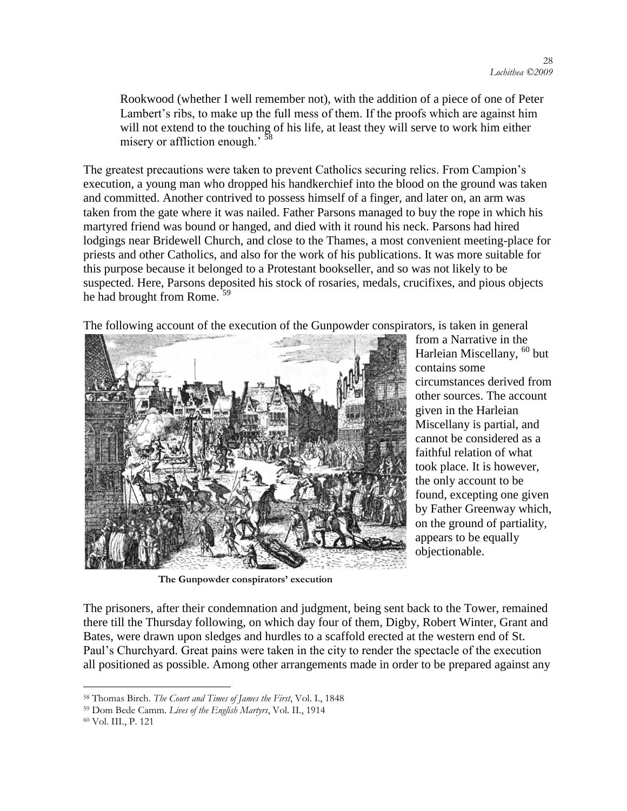Rookwood (whether I well remember not), with the addition of a piece of one of Peter Lambert's ribs, to make up the full mess of them. If the proofs which are against him will not extend to the touching of his life, at least they will serve to work him either misery or affliction enough.<sup>' 58</sup>

The greatest precautions were taken to prevent Catholics securing relics. From Campion's execution, a young man who dropped his handkerchief into the blood on the ground was taken and committed. Another contrived to possess himself of a finger, and later on, an arm was taken from the gate where it was nailed. Father Parsons managed to buy the rope in which his martyred friend was bound or hanged, and died with it round his neck. Parsons had hired lodgings near Bridewell Church, and close to the Thames, a most convenient meeting-place for priests and other Catholics, and also for the work of his publications. It was more suitable for this purpose because it belonged to a Protestant bookseller, and so was not likely to be suspected. Here, Parsons deposited his stock of rosaries, medals, crucifixes, and pious objects he had brought from Rome.<sup>59</sup>

The following account of the execution of the Gunpowder conspirators, is taken in general



**The Gunpowder conspirators' execution**

from a Narrative in the Harleian Miscellany, <sup>60</sup> but contains some circumstances derived from other sources. The account given in the Harleian Miscellany is partial, and cannot be considered as a faithful relation of what took place. It is however, the only account to be found, excepting one given by Father Greenway which, on the ground of partiality, appears to be equally objectionable.

The prisoners, after their condemnation and judgment, being sent back to the Tower, remained there till the Thursday following, on which day four of them, Digby, Robert Winter, Grant and Bates, were drawn upon sledges and hurdles to a scaffold erected at the western end of St. Paul's Churchyard. Great pains were taken in the city to render the spectacle of the execution all positioned as possible. Among other arrangements made in order to be prepared against any

<sup>58</sup> Thomas Birch. *The Court and Times of James the First*, Vol. I., 1848

<sup>59</sup> Dom Bede Camm. *Lives of the English Martyrs*, Vol. II., 1914

<sup>60</sup> Vol. III., P. 121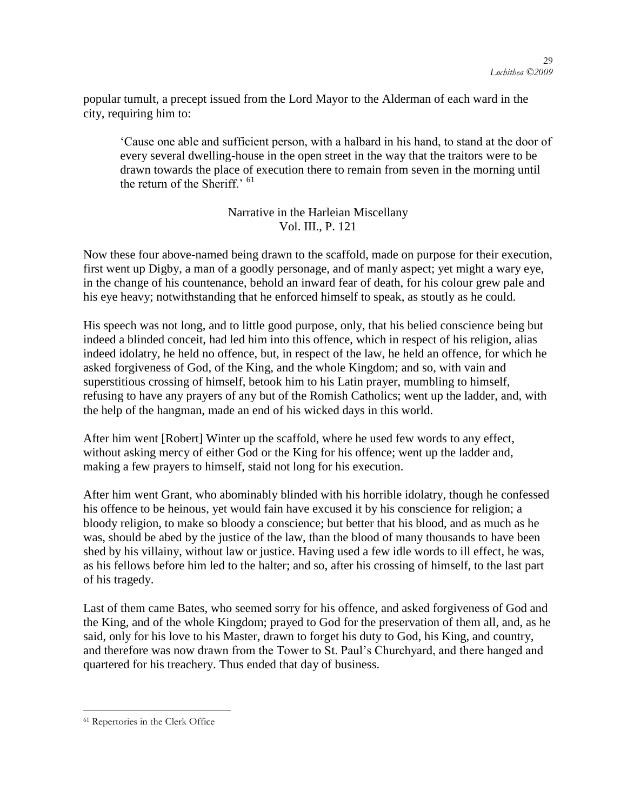popular tumult, a precept issued from the Lord Mayor to the Alderman of each ward in the city, requiring him to:

‗Cause one able and sufficient person, with a halbard in his hand, to stand at the door of every several dwelling-house in the open street in the way that the traitors were to be drawn towards the place of execution there to remain from seven in the morning until the return of the Sheriff<sup> $, 61$ </sup>

> Narrative in the Harleian Miscellany Vol. III., P. 121

Now these four above-named being drawn to the scaffold, made on purpose for their execution, first went up Digby, a man of a goodly personage, and of manly aspect; yet might a wary eye, in the change of his countenance, behold an inward fear of death, for his colour grew pale and his eye heavy; notwithstanding that he enforced himself to speak, as stoutly as he could.

His speech was not long, and to little good purpose, only, that his belied conscience being but indeed a blinded conceit, had led him into this offence, which in respect of his religion, alias indeed idolatry, he held no offence, but, in respect of the law, he held an offence, for which he asked forgiveness of God, of the King, and the whole Kingdom; and so, with vain and superstitious crossing of himself, betook him to his Latin prayer, mumbling to himself, refusing to have any prayers of any but of the Romish Catholics; went up the ladder, and, with the help of the hangman, made an end of his wicked days in this world.

After him went [Robert] Winter up the scaffold, where he used few words to any effect, without asking mercy of either God or the King for his offence; went up the ladder and, making a few prayers to himself, staid not long for his execution.

After him went Grant, who abominably blinded with his horrible idolatry, though he confessed his offence to be heinous, yet would fain have excused it by his conscience for religion; a bloody religion, to make so bloody a conscience; but better that his blood, and as much as he was, should be abed by the justice of the law, than the blood of many thousands to have been shed by his villainy, without law or justice. Having used a few idle words to ill effect, he was, as his fellows before him led to the halter; and so, after his crossing of himself, to the last part of his tragedy.

Last of them came Bates, who seemed sorry for his offence, and asked forgiveness of God and the King, and of the whole Kingdom; prayed to God for the preservation of them all, and, as he said, only for his love to his Master, drawn to forget his duty to God, his King, and country, and therefore was now drawn from the Tower to St. Paul's Churchyard, and there hanged and quartered for his treachery. Thus ended that day of business.

<sup>61</sup> Repertories in the Clerk Office